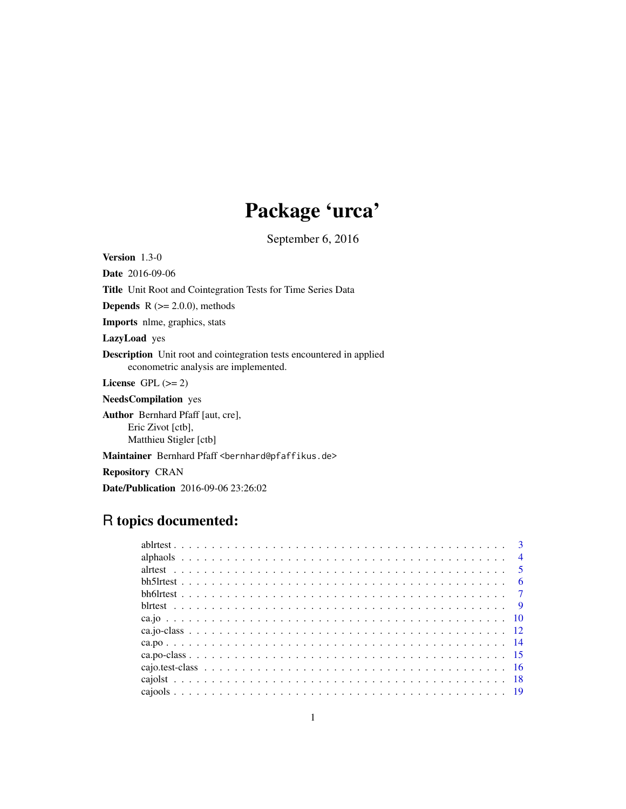# Package 'urca'

September 6, 2016

<span id="page-0-0"></span>Version 1.3-0

Date 2016-09-06 Title Unit Root and Cointegration Tests for Time Series Data **Depends**  $R$  ( $>= 2.0.0$ ), methods Imports nlme, graphics, stats LazyLoad yes Description Unit root and cointegration tests encountered in applied econometric analysis are implemented. License GPL  $(>= 2)$ NeedsCompilation yes Author Bernhard Pfaff [aut, cre], Eric Zivot [ctb],

Matthieu Stigler [ctb]

Maintainer Bernhard Pfaff <bernhard@pfaffikus.de>

Repository CRAN

Date/Publication 2016-09-06 23:26:02

# R topics documented: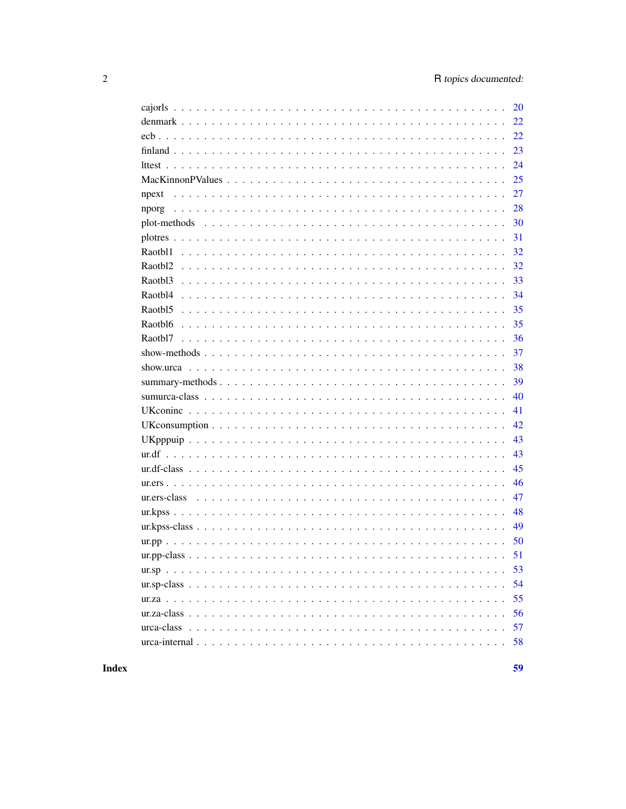| <b>20</b>     |
|---------------|
| 22            |
| 22            |
| 23            |
| 24            |
| 25            |
| 27<br>npext   |
| 28            |
| 30            |
| 31            |
| 32            |
| 32            |
| 33            |
| 34            |
| 35            |
| 35<br>Raotbl6 |
| 36            |
| 37            |
| 38            |
| 39            |
| 40            |
| 41            |
| 42            |
| 43            |
| 43            |
| 45            |
| 46            |
| 47            |
| 48            |
| 49            |
| 50            |
|               |
| 53            |
| 54            |
| 55            |
| 56            |
| 57            |
| 58            |

**Index**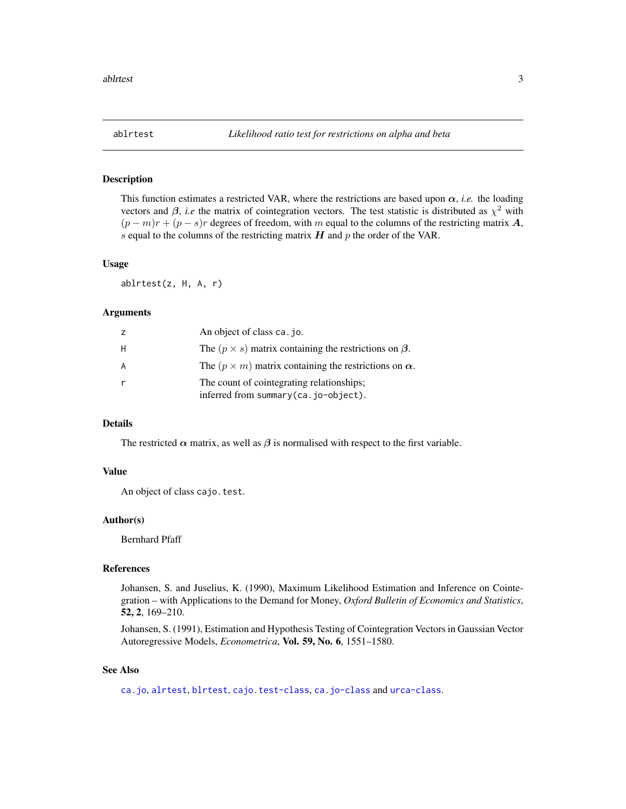<span id="page-2-1"></span><span id="page-2-0"></span>

# Description

This function estimates a restricted VAR, where the restrictions are based upon  $\alpha$ , *i.e.* the loading vectors and  $\beta$ , *i.e* the matrix of cointegration vectors. The test statistic is distributed as  $\chi^2$  with  $(p - m)r + (p - s)r$  degrees of freedom, with m equal to the columns of the restricting matrix A, s equal to the columns of the restricting matrix  $H$  and  $p$  the order of the VAR.

#### Usage

ablrtest(z, H, A, r)

#### Arguments

|   | An object of class ca. jo.                                                        |
|---|-----------------------------------------------------------------------------------|
| Н | The $(p \times s)$ matrix containing the restrictions on $\beta$ .                |
| A | The $(p \times m)$ matrix containing the restrictions on $\alpha$ .               |
|   | The count of cointegrating relationships;<br>inferred from summary(ca.jo-object). |

#### Details

The restricted  $\alpha$  matrix, as well as  $\beta$  is normalised with respect to the first variable.

#### Value

An object of class cajo.test.

#### Author(s)

Bernhard Pfaff

## References

Johansen, S. and Juselius, K. (1990), Maximum Likelihood Estimation and Inference on Cointegration – with Applications to the Demand for Money, *Oxford Bulletin of Economics and Statistics*, 52, 2, 169–210.

Johansen, S. (1991), Estimation and Hypothesis Testing of Cointegration Vectors in Gaussian Vector Autoregressive Models, *Econometrica*, Vol. 59, No. 6, 1551–1580.

#### See Also

[ca.jo](#page-9-1), [alrtest](#page-4-1), [blrtest](#page-8-1), [cajo.test-class](#page-15-1), [ca.jo-class](#page-11-1) and [urca-class](#page-56-1).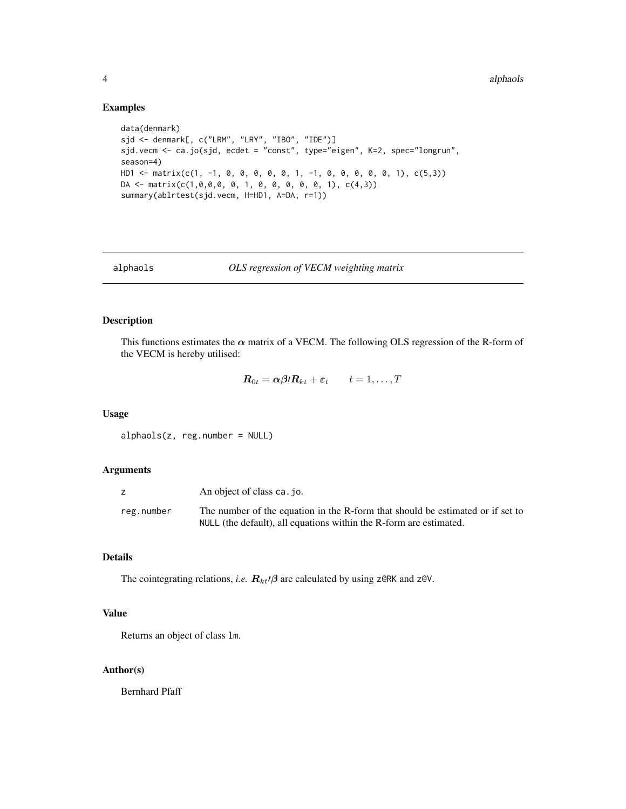#### Examples

```
data(denmark)
sjd <- denmark[, c("LRM", "LRY", "IBO", "IDE")]
sjd.vecm <- ca.jo(sjd, ecdet = "const", type="eigen", K=2, spec="longrun",
season=4)
HD1 <- matrix(c(1, -1, 0, 0, 0, 0, 0, 1, -1, 0, 0, 0, 0, 0, 1), c(5,3))
DA \leftarrow matrix(c(1, 0, 0, 0, 0, 1, 0, 0, 0, 0, 0, 1), c(4, 3))summary(ablrtest(sjd.vecm, H=HD1, A=DA, r=1))
```
alphaols *OLS regression of VECM weighting matrix*

# Description

This functions estimates the  $\alpha$  matrix of a VECM. The following OLS regression of the R-form of the VECM is hereby utilised:

$$
\boldsymbol{R}_{0t} = \alpha \boldsymbol{\beta} \boldsymbol{\beta} \boldsymbol{R}_{kt} + \boldsymbol{\varepsilon}_t \qquad t = 1, \ldots, T
$$

#### Usage

alphaols(z, reg.number = NULL)

#### Arguments

|            | An object of class ca. jo.                                                     |
|------------|--------------------------------------------------------------------------------|
| reg.number | The number of the equation in the R-form that should be estimated or if set to |
|            | NULL (the default), all equations within the R-form are estimated.             |

# Details

The cointegrating relations, *i.e.*  $R_{kt}/\beta$  are calculated by using z@RK and z@V.

# Value

Returns an object of class lm.

# Author(s)

Bernhard Pfaff

<span id="page-3-0"></span>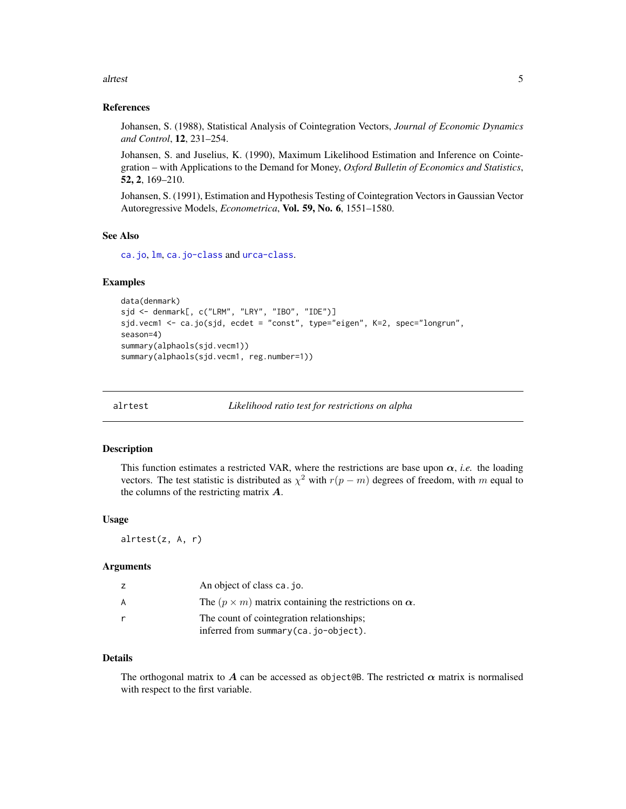#### <span id="page-4-0"></span>alrtest 5

#### References

Johansen, S. (1988), Statistical Analysis of Cointegration Vectors, *Journal of Economic Dynamics and Control*, 12, 231–254.

Johansen, S. and Juselius, K. (1990), Maximum Likelihood Estimation and Inference on Cointegration – with Applications to the Demand for Money, *Oxford Bulletin of Economics and Statistics*, 52, 2, 169–210.

Johansen, S. (1991), Estimation and Hypothesis Testing of Cointegration Vectors in Gaussian Vector Autoregressive Models, *Econometrica*, Vol. 59, No. 6, 1551–1580.

# See Also

[ca.jo](#page-9-1), [lm](#page-0-0), [ca.jo-class](#page-11-1) and [urca-class](#page-56-1).

#### Examples

```
data(denmark)
sjd <- denmark[, c("LRM", "LRY", "IBO", "IDE")]
sjd.vecm1 <- ca.jo(sjd, ecdet = "const", type="eigen", K=2, spec="longrun",
season=4)
summary(alphaols(sjd.vecm1))
summary(alphaols(sjd.vecm1, reg.number=1))
```
<span id="page-4-1"></span>

alrtest *Likelihood ratio test for restrictions on alpha*

#### **Description**

This function estimates a restricted VAR, where the restrictions are base upon  $\alpha$ , *i.e.* the loading vectors. The test statistic is distributed as  $\chi^2$  with  $r(p - m)$  degrees of freedom, with m equal to the columns of the restricting matrix  $\boldsymbol{A}$ .

#### Usage

alrtest(z, A, r)

# Arguments

| z | An object of class ca. jo.                                          |
|---|---------------------------------------------------------------------|
| A | The $(p \times m)$ matrix containing the restrictions on $\alpha$ . |
|   | The count of cointegration relationships;                           |
|   | inferred from summary (ca.jo-object).                               |

# Details

The orthogonal matrix to A can be accessed as object@B. The restricted  $\alpha$  matrix is normalised with respect to the first variable.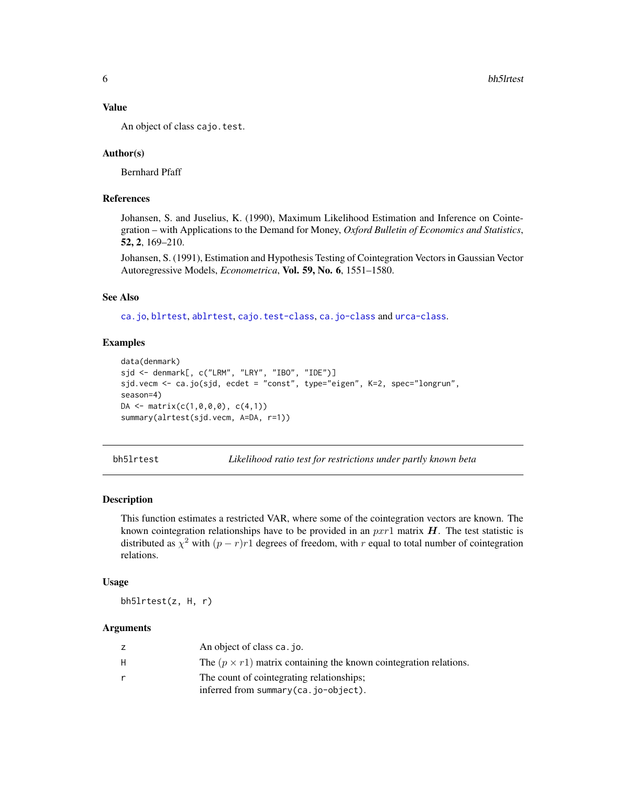# Value

An object of class cajo.test.

#### Author(s)

Bernhard Pfaff

#### References

Johansen, S. and Juselius, K. (1990), Maximum Likelihood Estimation and Inference on Cointegration – with Applications to the Demand for Money, *Oxford Bulletin of Economics and Statistics*, 52, 2, 169–210.

Johansen, S. (1991), Estimation and Hypothesis Testing of Cointegration Vectors in Gaussian Vector Autoregressive Models, *Econometrica*, Vol. 59, No. 6, 1551–1580.

# See Also

[ca.jo](#page-9-1), [blrtest](#page-8-1), [ablrtest](#page-2-1), [cajo.test-class](#page-15-1), [ca.jo-class](#page-11-1) and [urca-class](#page-56-1).

# Examples

```
data(denmark)
sjd <- denmark[, c("LRM", "LRY", "IBO", "IDE")]
sjd.vecm <- ca.jo(sjd, ecdet = "const", type="eigen", K=2, spec="longrun",
season=4)
DA <- matrix(c(1,0,0,0), c(4,1))
summary(alrtest(sjd.vecm, A=DA, r=1))
```
<span id="page-5-1"></span>bh5lrtest *Likelihood ratio test for restrictions under partly known beta*

# Description

This function estimates a restricted VAR, where some of the cointegration vectors are known. The known cointegration relationships have to be provided in an  $pxr1$  matrix  $H$ . The test statistic is distributed as  $\chi^2$  with  $(p - r)r1$  degrees of freedom, with r equal to total number of cointegration relations.

#### Usage

bh5lrtest(z, H, r)

#### Arguments

| z  | An object of class ca. jo.                                               |
|----|--------------------------------------------------------------------------|
| H. | The $(p \times r1)$ matrix containing the known cointegration relations. |
| r  | The count of cointegrating relationships;                                |
|    | inferred from summary (ca. jo-object).                                   |

<span id="page-5-0"></span>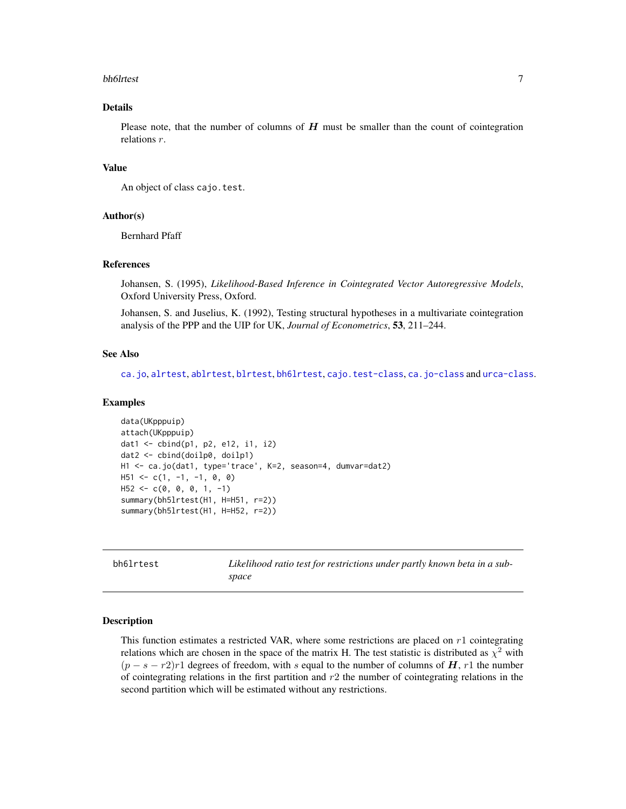#### <span id="page-6-0"></span>bh6lrtest 7

# Details

Please note, that the number of columns of  $H$  must be smaller than the count of cointegration relations r.

# Value

An object of class cajo.test.

#### Author(s)

Bernhard Pfaff

# References

Johansen, S. (1995), *Likelihood-Based Inference in Cointegrated Vector Autoregressive Models*, Oxford University Press, Oxford.

Johansen, S. and Juselius, K. (1992), Testing structural hypotheses in a multivariate cointegration analysis of the PPP and the UIP for UK, *Journal of Econometrics*, 53, 211–244.

# See Also

[ca.jo](#page-9-1), [alrtest](#page-4-1), [ablrtest](#page-2-1), [blrtest](#page-8-1), [bh6lrtest](#page-6-1), [cajo.test-class](#page-15-1), [ca.jo-class](#page-11-1) and [urca-class](#page-56-1).

#### Examples

```
data(UKpppuip)
attach(UKpppuip)
dat1 <- cbind(p1, p2, e12, i1, i2)
dat2 <- cbind(doilp0, doilp1)
H1 <- ca.jo(dat1, type='trace', K=2, season=4, dumvar=dat2)
H51 \leftarrow c(1, -1, -1, 0, 0)H52 \leq -c(0, 0, 0, 1, -1)summary(bh5lrtest(H1, H=H51, r=2))
summary(bh5lrtest(H1, H=H52, r=2))
```
<span id="page-6-1"></span>bh6lrtest *Likelihood ratio test for restrictions under partly known beta in a subspace*

#### Description

This function estimates a restricted VAR, where some restrictions are placed on  $r1$  cointegrating relations which are chosen in the space of the matrix H. The test statistic is distributed as  $\chi^2$  with  $(p - s - r^2)r^1$  degrees of freedom, with s equal to the number of columns of H, r 1 the number of cointegrating relations in the first partition and  $r2$  the number of cointegrating relations in the second partition which will be estimated without any restrictions.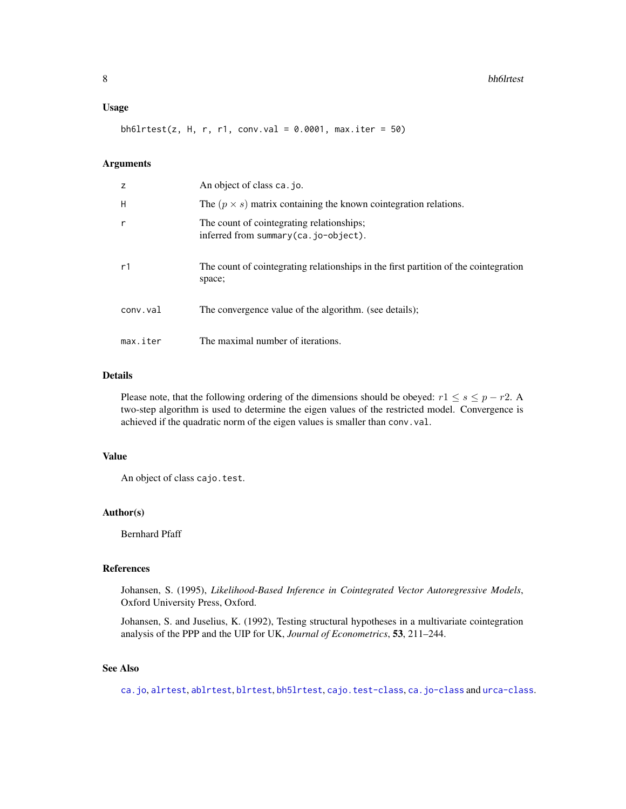#### <span id="page-7-0"></span>Usage

bh6lrtest(z, H, r, r1, conv.val =  $0.0001$ , max.iter = 50)

# Arguments

| z        | An object of class ca. jo.                                                                     |
|----------|------------------------------------------------------------------------------------------------|
| H        | The $(p \times s)$ matrix containing the known cointegration relations.                        |
| r        | The count of cointegrating relationships;<br>inferred from summary $(ca. io-object)$ .         |
| r1       | The count of cointegrating relationships in the first partition of the cointegration<br>space; |
| conv.val | The convergence value of the algorithm. (see details);                                         |
| max.iter | The maximal number of iterations.                                                              |

# Details

Please note, that the following ordering of the dimensions should be obeyed:  $r1 \leq s \leq p-r2$ . A two-step algorithm is used to determine the eigen values of the restricted model. Convergence is achieved if the quadratic norm of the eigen values is smaller than conv.val.

# Value

An object of class cajo.test.

# Author(s)

Bernhard Pfaff

# References

Johansen, S. (1995), *Likelihood-Based Inference in Cointegrated Vector Autoregressive Models*, Oxford University Press, Oxford.

Johansen, S. and Juselius, K. (1992), Testing structural hypotheses in a multivariate cointegration analysis of the PPP and the UIP for UK, *Journal of Econometrics*, 53, 211–244.

# See Also

[ca.jo](#page-9-1), [alrtest](#page-4-1), [ablrtest](#page-2-1), [blrtest](#page-8-1), [bh5lrtest](#page-5-1), [cajo.test-class](#page-15-1), [ca.jo-class](#page-11-1) and [urca-class](#page-56-1).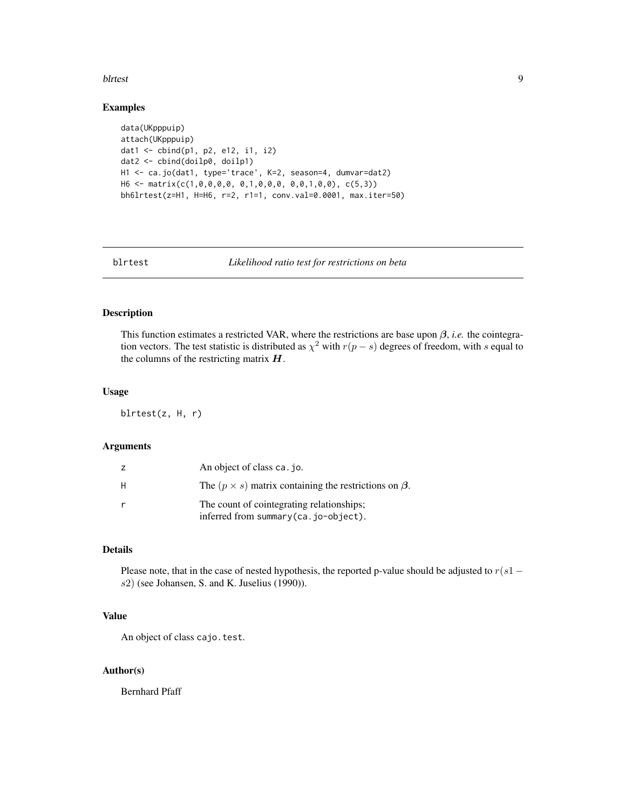#### <span id="page-8-0"></span>blrtest 9

#### Examples

```
data(UKpppuip)
attach(UKpppuip)
dat1 <- cbind(p1, p2, e12, i1, i2)
dat2 <- cbind(doilp0, doilp1)
H1 <- ca.jo(dat1, type='trace', K=2, season=4, dumvar=dat2)
H6 <- matrix(c(1,0,0,0,0, 0,1,0,0,0, 0,0,1,0,0), c(5,3))
bh6lrtest(z=H1, H=H6, r=2, r1=1, conv.val=0.0001, max.iter=50)
```
<span id="page-8-1"></span>

blrtest *Likelihood ratio test for restrictions on beta*

#### Description

This function estimates a restricted VAR, where the restrictions are base upon  $\beta$ , *i.e.* the cointegration vectors. The test statistic is distributed as  $\chi^2$  with  $r(p - s)$  degrees of freedom, with s equal to the columns of the restricting matrix  $H$ .

#### Usage

blrtest(z, H, r)

#### Arguments

| z | An object of class ca. jo.                                                          |
|---|-------------------------------------------------------------------------------------|
| H | The $(p \times s)$ matrix containing the restrictions on $\beta$ .                  |
| r | The count of cointegrating relationships;<br>inferred from summary (ca. jo-object). |
|   |                                                                                     |

# Details

Please note, that in the case of nested hypothesis, the reported p-value should be adjusted to  $r(s1$ s2) (see Johansen, S. and K. Juselius (1990)).

#### Value

An object of class cajo.test.

# Author(s)

Bernhard Pfaff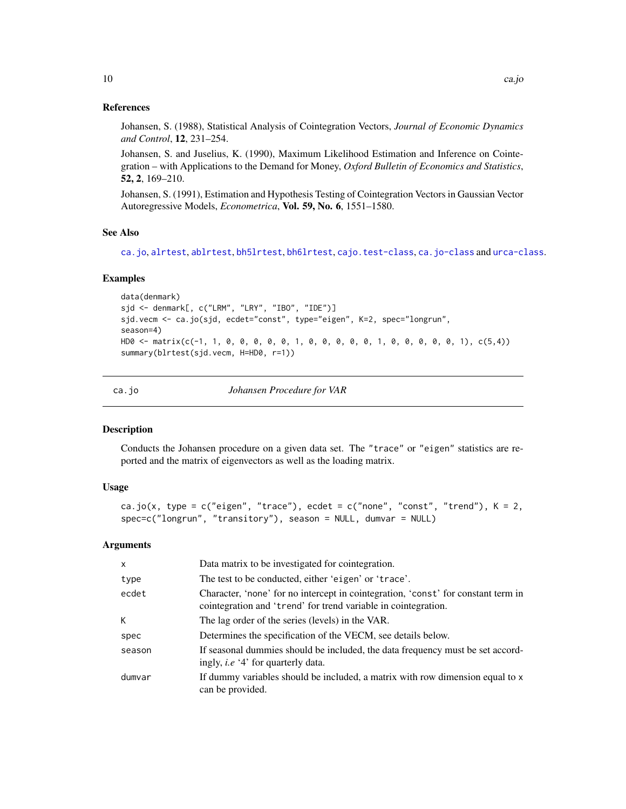<span id="page-9-0"></span>Johansen, S. (1988), Statistical Analysis of Cointegration Vectors, *Journal of Economic Dynamics and Control*, 12, 231–254.

Johansen, S. and Juselius, K. (1990), Maximum Likelihood Estimation and Inference on Cointegration – with Applications to the Demand for Money, *Oxford Bulletin of Economics and Statistics*, 52, 2, 169–210.

Johansen, S. (1991), Estimation and Hypothesis Testing of Cointegration Vectors in Gaussian Vector Autoregressive Models, *Econometrica*, Vol. 59, No. 6, 1551–1580.

#### See Also

[ca.jo](#page-9-1), [alrtest](#page-4-1), [ablrtest](#page-2-1), [bh5lrtest](#page-5-1), [bh6lrtest](#page-6-1), [cajo.test-class](#page-15-1), [ca.jo-class](#page-11-1) and [urca-class](#page-56-1).

#### Examples

```
data(denmark)
sjd <- denmark[, c("LRM", "LRY", "IBO", "IDE")]
sjd.vecm <- ca.jo(sjd, ecdet="const", type="eigen", K=2, spec="longrun",
season=4)
HD0 <- matrix(c(-1, 1, 0, 0, 0, 0, 0, 1, 0, 0, 0, 0, 0, 1, 0, 0, 0, 0, 0, 1), c(5,4))
summary(blrtest(sjd.vecm, H=HD0, r=1))
```
<span id="page-9-1"></span>ca.jo *Johansen Procedure for VAR*

# Description

Conducts the Johansen procedure on a given data set. The "trace" or "eigen" statistics are reported and the matrix of eigenvectors as well as the loading matrix.

#### Usage

```
ca.jo(x, type = c("eigen", "trace"), ecdet = c("none", "const", "trend"), K = 2,
spec=c("longrun", "transitory"), season = NULL, dumvar = NULL)
```
# Arguments

| $\mathsf{x}$ | Data matrix to be investigated for cointegration.                                                                                                   |
|--------------|-----------------------------------------------------------------------------------------------------------------------------------------------------|
| type         | The test to be conducted, either 'eigen' or 'trace'.                                                                                                |
| ecdet        | Character, 'none' for no intercept in cointegration, 'const' for constant term in<br>cointegration and 'trend' for trend variable in cointegration. |
| K            | The lag order of the series (levels) in the VAR.                                                                                                    |
| spec         | Determines the specification of the VECM, see details below.                                                                                        |
| season       | If seasonal dummies should be included, the data frequency must be set accord-<br>ingly, <i>i.e</i> '4' for quarterly data.                         |
| dumvar       | If dummy variables should be included, a matrix with row dimension equal to x<br>can be provided.                                                   |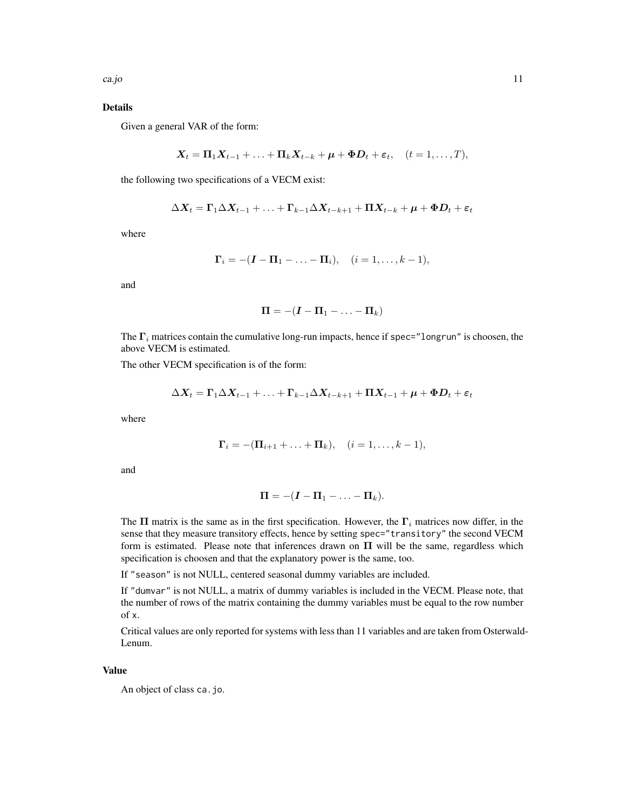# Details

Given a general VAR of the form:

$$
\mathbf{X}_t = \mathbf{\Pi}_1 \mathbf{X}_{t-1} + \ldots + \mathbf{\Pi}_k \mathbf{X}_{t-k} + \boldsymbol{\mu} + \boldsymbol{\Phi} \mathbf{D}_t + \boldsymbol{\varepsilon}_t, \quad (t = 1, \ldots, T),
$$

the following two specifications of a VECM exist:

$$
\Delta \bm{X}_{t}=\bm{\Gamma}_{1}\Delta\bm{X}_{t-1}+\ldots+\bm{\Gamma}_{k-1}\Delta\bm{X}_{t-k+1}+\bm{\Pi}\bm{X}_{t-k}+\bm{\mu}+\bm{\Phi}\bm{D}_{t}+\bm{\varepsilon}_{t}
$$

where

$$
\Gamma_i = -(\mathbf{I} - \mathbf{\Pi}_1 - \ldots - \mathbf{\Pi}_i), \quad (i = 1, \ldots, k-1),
$$

and

$$
\bm{\Pi} = -(\bm{I} - \bm{\Pi}_1 - \ldots - \bm{\Pi}_k)
$$

The  $\Gamma_i$  matrices contain the cumulative long-run impacts, hence if spec="longrun" is choosen, the above VECM is estimated.

The other VECM specification is of the form:

$$
\Delta \bm{X}_{t}=\bm{\Gamma}_{1}\Delta\bm{X}_{t-1}+\ldots+\bm{\Gamma}_{k-1}\Delta\bm{X}_{t-k+1}+\bm{\Pi}\bm{X}_{t-1}+\bm{\mu}+\bm{\Phi}\bm{D}_{t}+\bm{\varepsilon}_{t}
$$

where

$$
\Gamma_i = -(\Pi_{i+1} + \ldots + \Pi_k), \quad (i = 1, \ldots, k-1),
$$

and

$$
\mathbf{\Pi} = -(\boldsymbol{I} - \mathbf{\Pi}_1 - \ldots - \mathbf{\Pi}_k).
$$

The  $\Pi$  matrix is the same as in the first specification. However, the  $\Gamma_i$  matrices now differ, in the sense that they measure transitory effects, hence by setting spec="transitory" the second VECM form is estimated. Please note that inferences drawn on  $\Pi$  will be the same, regardless which specification is choosen and that the explanatory power is the same, too.

If "season" is not NULL, centered seasonal dummy variables are included.

If "dumvar" is not NULL, a matrix of dummy variables is included in the VECM. Please note, that the number of rows of the matrix containing the dummy variables must be equal to the row number of x.

Critical values are only reported for systems with less than 11 variables and are taken from Osterwald-Lenum.

# Value

An object of class ca.jo.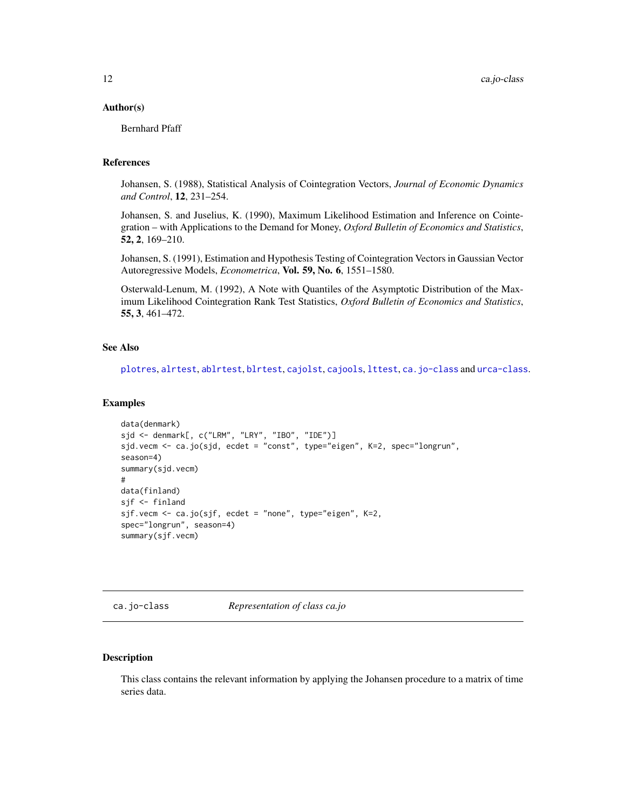#### <span id="page-11-0"></span>Author(s)

Bernhard Pfaff

# References

Johansen, S. (1988), Statistical Analysis of Cointegration Vectors, *Journal of Economic Dynamics and Control*, 12, 231–254.

Johansen, S. and Juselius, K. (1990), Maximum Likelihood Estimation and Inference on Cointegration – with Applications to the Demand for Money, *Oxford Bulletin of Economics and Statistics*, 52, 2, 169–210.

Johansen, S. (1991), Estimation and Hypothesis Testing of Cointegration Vectors in Gaussian Vector Autoregressive Models, *Econometrica*, Vol. 59, No. 6, 1551–1580.

Osterwald-Lenum, M. (1992), A Note with Quantiles of the Asymptotic Distribution of the Maximum Likelihood Cointegration Rank Test Statistics, *Oxford Bulletin of Economics and Statistics*, 55, 3, 461–472.

#### See Also

[plotres](#page-30-1), [alrtest](#page-4-1), [ablrtest](#page-2-1), [blrtest](#page-8-1), [cajolst](#page-17-1), [cajools](#page-18-1), [lttest](#page-23-1), [ca.jo-class](#page-11-1) and [urca-class](#page-56-1).

#### Examples

```
data(denmark)
sjd <- denmark[, c("LRM", "LRY", "IBO", "IDE")]
sjd.vecm <- ca.jo(sjd, ecdet = "const", type="eigen", K=2, spec="longrun",
season=4)
summary(sjd.vecm)
#
data(finland)
sjf <- finland
sjf.vecm <- ca.jo(sjf, ecdet = "none", type="eigen", K=2,
spec="longrun", season=4)
summary(sjf.vecm)
```
<span id="page-11-1"></span>ca.jo-class *Representation of class ca.jo*

#### Description

This class contains the relevant information by applying the Johansen procedure to a matrix of time series data.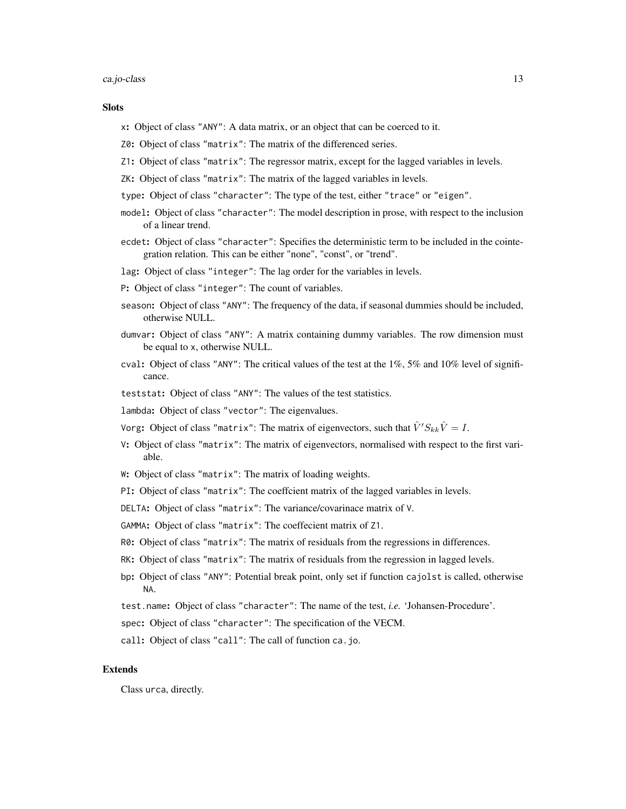#### ca.jo-class 13

#### **Slots**

- x: Object of class "ANY": A data matrix, or an object that can be coerced to it.
- Z0: Object of class "matrix": The matrix of the differenced series.
- Z1: Object of class "matrix": The regressor matrix, except for the lagged variables in levels.
- ZK: Object of class "matrix": The matrix of the lagged variables in levels.
- type: Object of class "character": The type of the test, either "trace" or "eigen".
- model: Object of class "character": The model description in prose, with respect to the inclusion of a linear trend.
- ecdet: Object of class "character": Specifies the deterministic term to be included in the cointegration relation. This can be either "none", "const", or "trend".
- lag: Object of class "integer": The lag order for the variables in levels.
- P: Object of class "integer": The count of variables.
- season: Object of class "ANY": The frequency of the data, if seasonal dummies should be included, otherwise NULL.
- dumvar: Object of class "ANY": A matrix containing dummy variables. The row dimension must be equal to x, otherwise NULL.
- cval: Object of class "ANY": The critical values of the test at the  $1\%, 5\%$  and  $10\%$  level of significance.
- teststat: Object of class "ANY": The values of the test statistics.
- lambda: Object of class "vector": The eigenvalues.
- Vorg: Object of class "matrix": The matrix of eigenvectors, such that  $\hat{V}' S_{kk} \hat{V} = I$ .
- V: Object of class "matrix": The matrix of eigenvectors, normalised with respect to the first variable.
- W: Object of class "matrix": The matrix of loading weights.
- PI: Object of class "matrix": The coeffcient matrix of the lagged variables in levels.
- DELTA: Object of class "matrix": The variance/covarinace matrix of V.
- GAMMA: Object of class "matrix": The coeffecient matrix of Z1.
- R0: Object of class "matrix": The matrix of residuals from the regressions in differences.
- RK: Object of class "matrix": The matrix of residuals from the regression in lagged levels.
- bp: Object of class "ANY": Potential break point, only set if function cajolst is called, otherwise NA.
- test.name: Object of class "character": The name of the test, *i.e.* 'Johansen-Procedure'.
- spec: Object of class "character": The specification of the VECM.
- call: Object of class "call": The call of function ca.jo.

# Extends

Class urca, directly.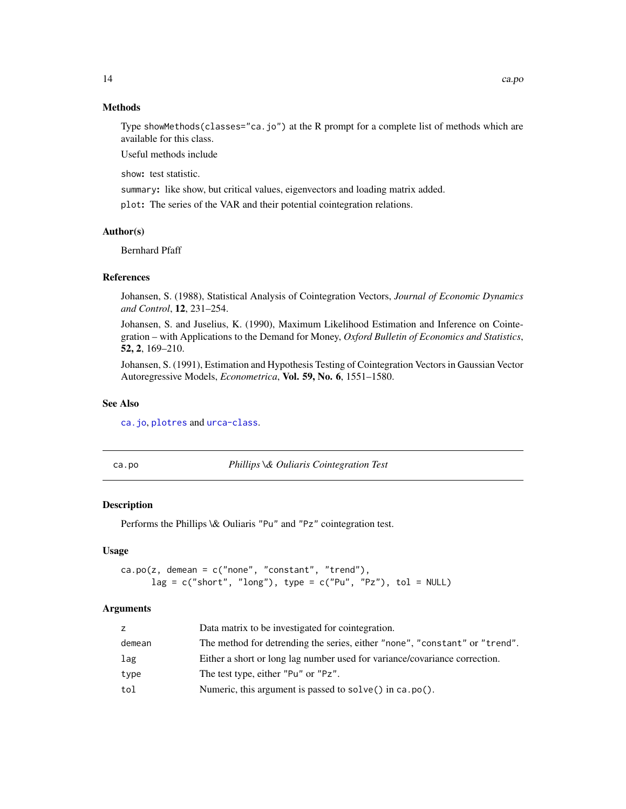# Methods

Type showMethods(classes="ca.jo") at the R prompt for a complete list of methods which are available for this class.

Useful methods include

show: test statistic.

summary: like show, but critical values, eigenvectors and loading matrix added.

plot: The series of the VAR and their potential cointegration relations.

# Author(s)

Bernhard Pfaff

#### References

Johansen, S. (1988), Statistical Analysis of Cointegration Vectors, *Journal of Economic Dynamics and Control*, 12, 231–254.

Johansen, S. and Juselius, K. (1990), Maximum Likelihood Estimation and Inference on Cointegration – with Applications to the Demand for Money, *Oxford Bulletin of Economics and Statistics*, 52, 2, 169–210.

Johansen, S. (1991), Estimation and Hypothesis Testing of Cointegration Vectors in Gaussian Vector Autoregressive Models, *Econometrica*, Vol. 59, No. 6, 1551–1580.

# See Also

[ca.jo](#page-9-1), [plotres](#page-30-1) and [urca-class](#page-56-1).

<span id="page-13-1"></span>ca.po *Phillips \& Ouliaris Cointegration Test*

# Description

Performs the Phillips \& Ouliaris "Pu" and "Pz" cointegration test.

# Usage

```
ca.po(z, demean = c("none", "constant", "trend"),lag = c("short", "long"), type = c("Pu", "Pz"), tol = NULL)
```
#### Arguments

| z      | Data matrix to be investigated for cointegration.                           |
|--------|-----------------------------------------------------------------------------|
| demean | The method for detrending the series, either "none", "constant" or "trend". |
| lag    | Either a short or long lag number used for variance/covariance correction.  |
| type   | The test type, either "Pu" or "Pz".                                         |
| tol    | Numeric, this argument is passed to solve() in ca. $po($ ).                 |

<span id="page-13-0"></span>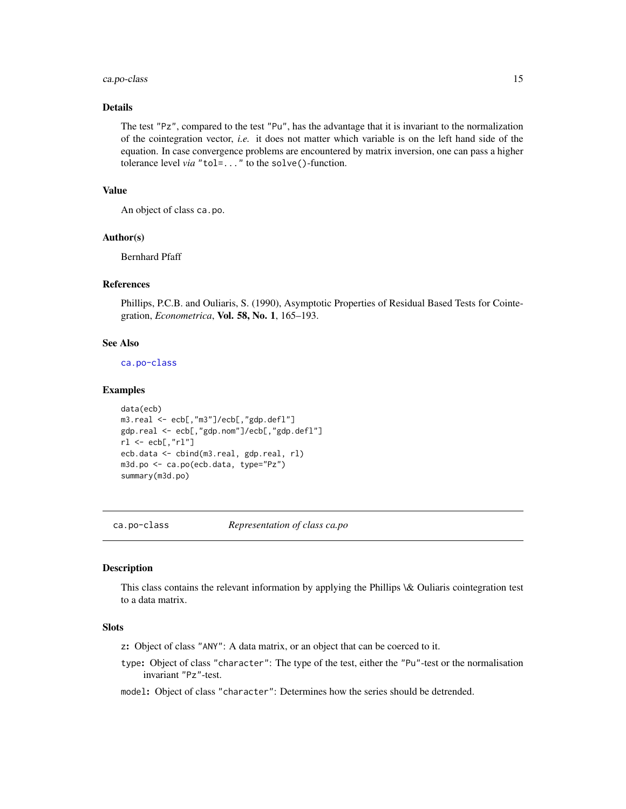# <span id="page-14-0"></span>ca.po-class 15

# Details

The test "Pz", compared to the test "Pu", has the advantage that it is invariant to the normalization of the cointegration vector, *i.e.* it does not matter which variable is on the left hand side of the equation. In case convergence problems are encountered by matrix inversion, one can pass a higher tolerance level *via* "tol=..." to the solve()-function.

# Value

An object of class ca.po.

#### Author(s)

Bernhard Pfaff

# **References**

Phillips, P.C.B. and Ouliaris, S. (1990), Asymptotic Properties of Residual Based Tests for Cointegration, *Econometrica*, Vol. 58, No. 1, 165–193.

# See Also

[ca.po-class](#page-14-1)

#### Examples

```
data(ecb)
m3.real <- ecb[,"m3"]/ecb[,"gdp.defl"]
gdp.real <- ecb[,"gdp.nom"]/ecb[,"gdp.defl"]
rl <- ecb[,"rl"]
ecb.data <- cbind(m3.real, gdp.real, rl)
m3d.po <- ca.po(ecb.data, type="Pz")
summary(m3d.po)
```
<span id="page-14-1"></span>

ca.po-class *Representation of class ca.po*

# Description

This class contains the relevant information by applying the Phillips \& Ouliaris cointegration test to a data matrix.

# **Slots**

z: Object of class "ANY": A data matrix, or an object that can be coerced to it.

type: Object of class "character": The type of the test, either the "Pu"-test or the normalisation invariant "Pz"-test.

model: Object of class "character": Determines how the series should be detrended.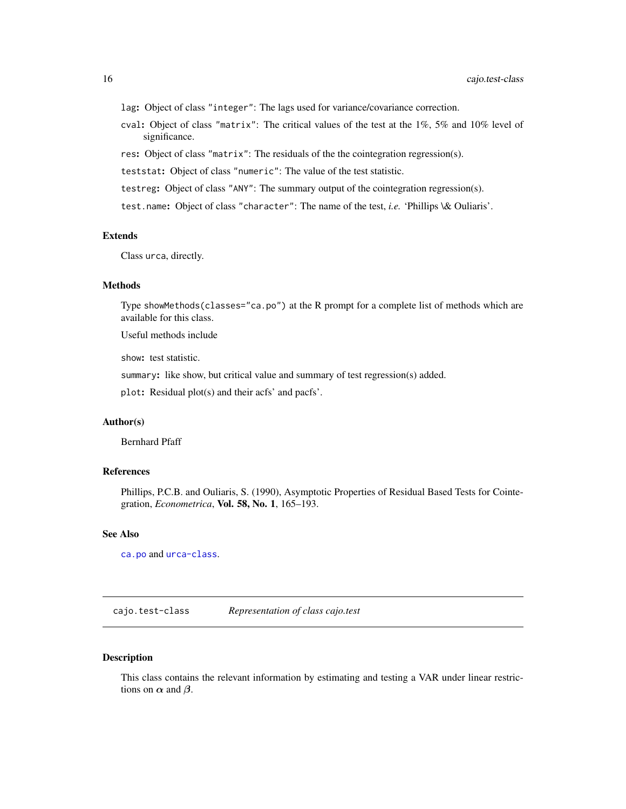<span id="page-15-0"></span>lag: Object of class "integer": The lags used for variance/covariance correction.

- cval: Object of class "matrix": The critical values of the test at the 1%, 5% and 10% level of significance.
- res: Object of class "matrix": The residuals of the the cointegration regression(s).

teststat: Object of class "numeric": The value of the test statistic.

testreg: Object of class "ANY": The summary output of the cointegration regression(s).

test.name: Object of class "character": The name of the test, *i.e.* 'Phillips \& Ouliaris'.

# Extends

Class urca, directly.

# Methods

Type showMethods(classes="ca.po") at the R prompt for a complete list of methods which are available for this class.

Useful methods include

show: test statistic.

summary: like show, but critical value and summary of test regression(s) added.

plot: Residual plot(s) and their acfs' and pacfs'.

# Author(s)

Bernhard Pfaff

# References

Phillips, P.C.B. and Ouliaris, S. (1990), Asymptotic Properties of Residual Based Tests for Cointegration, *Econometrica*, Vol. 58, No. 1, 165–193.

#### See Also

[ca.po](#page-13-1) and [urca-class](#page-56-1).

<span id="page-15-1"></span>cajo.test-class *Representation of class cajo.test*

#### Description

This class contains the relevant information by estimating and testing a VAR under linear restrictions on  $\alpha$  and  $\beta$ .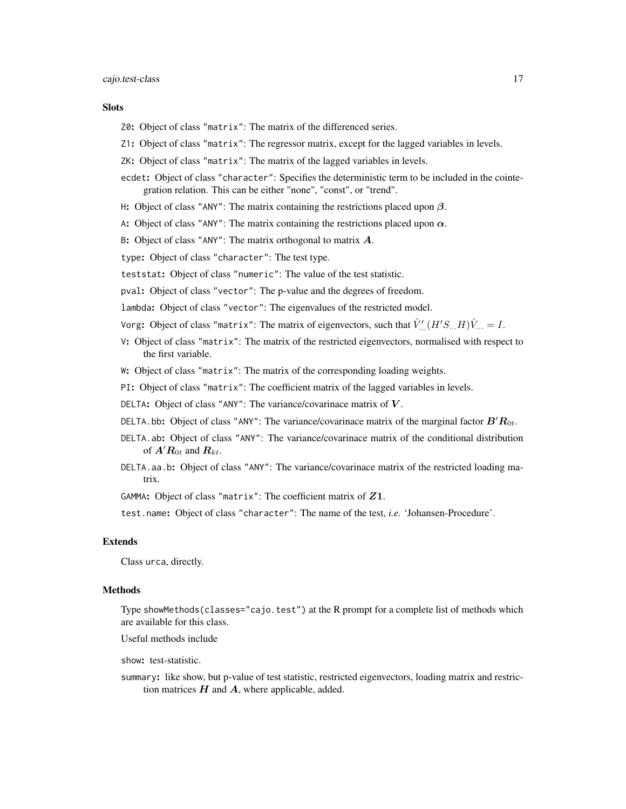# Slots

- Z0: Object of class "matrix": The matrix of the differenced series.
- Z1: Object of class "matrix": The regressor matrix, except for the lagged variables in levels.
- ZK: Object of class "matrix": The matrix of the lagged variables in levels.
- ecdet: Object of class "character": Specifies the deterministic term to be included in the cointegration relation. This can be either "none", "const", or "trend".
- H: Object of class "ANY": The matrix containing the restrictions placed upon  $\beta$ .
- A: Object of class "ANY": The matrix containing the restrictions placed upon  $\alpha$ .
- B: Object of class "ANY": The matrix orthogonal to matrix  $A$ .
- type: Object of class "character": The test type.
- teststat: Object of class "numeric": The value of the test statistic.
- pval: Object of class "vector": The p-value and the degrees of freedom.
- lambda: Object of class "vector": The eigenvalues of the restricted model.
- Vorg: Object of class "matrix": The matrix of eigenvectors, such that  $\hat{V}^{\prime}_{...}(H^{\prime}S_{...}H)\hat{V}_{...}=I.$
- V: Object of class "matrix": The matrix of the restricted eigenvectors, normalised with respect to the first variable.
- W: Object of class "matrix": The matrix of the corresponding loading weights.
- PI: Object of class "matrix": The coefficient matrix of the lagged variables in levels.
- DELTA: Object of class "ANY": The variance/covarinace matrix of  $V$ .
- DELTA.bb: Object of class "ANY": The variance/covarinace matrix of the marginal factor  $B'R_{0t}$ .
- DELTA.ab: Object of class "ANY": The variance/covarinace matrix of the conditional distribution of  $A'R_{0t}$  and  $R_{kt}$ .
- DELTA.aa.b: Object of class "ANY": The variance/covarinace matrix of the restricted loading matrix.

GAMMA: Object of class "matrix": The coefficient matrix of  $Z1$ .

test.name: Object of class "character": The name of the test, *i.e.* 'Johansen-Procedure'.

#### Extends

Class urca, directly.

#### Methods

Type showMethods(classes="cajo.test") at the R prompt for a complete list of methods which are available for this class.

Useful methods include

show: test-statistic.

summary: like show, but p-value of test statistic, restricted eigenvectors, loading matrix and restriction matrices  $H$  and  $A$ , where applicable, added.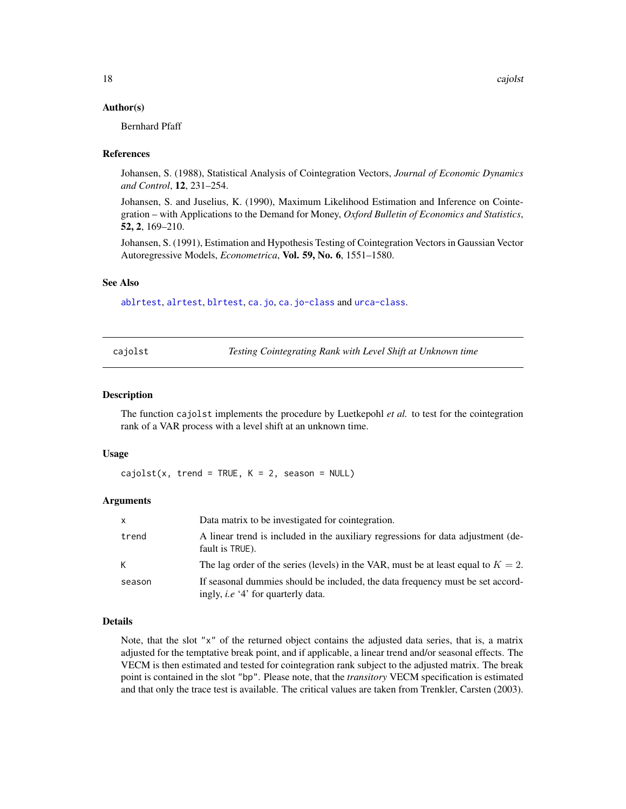#### <span id="page-17-0"></span>Author(s)

Bernhard Pfaff

#### References

Johansen, S. (1988), Statistical Analysis of Cointegration Vectors, *Journal of Economic Dynamics and Control*, 12, 231–254.

Johansen, S. and Juselius, K. (1990), Maximum Likelihood Estimation and Inference on Cointegration – with Applications to the Demand for Money, *Oxford Bulletin of Economics and Statistics*, 52, 2, 169–210.

Johansen, S. (1991), Estimation and Hypothesis Testing of Cointegration Vectors in Gaussian Vector Autoregressive Models, *Econometrica*, Vol. 59, No. 6, 1551–1580.

#### See Also

[ablrtest](#page-2-1), [alrtest](#page-4-1), [blrtest](#page-8-1), [ca.jo](#page-9-1), [ca.jo-class](#page-11-1) and [urca-class](#page-56-1).

<span id="page-17-1"></span>cajolst *Testing Cointegrating Rank with Level Shift at Unknown time*

#### **Description**

The function cajolst implements the procedure by Luetkepohl *et al.* to test for the cointegration rank of a VAR process with a level shift at an unknown time.

#### Usage

 $cajolst(x, trend = TRUE, K = 2, season = NULL)$ 

#### Arguments

| X      | Data matrix to be investigated for cointegration.                                                                           |
|--------|-----------------------------------------------------------------------------------------------------------------------------|
| trend  | A linear trend is included in the auxiliary regressions for data adjustment (de-<br>fault is TRUE).                         |
| K      | The lag order of the series (levels) in the VAR, must be at least equal to $K = 2$ .                                        |
| season | If seasonal dummies should be included, the data frequency must be set accord-<br>ingly, <i>i.e</i> '4' for quarterly data. |

#### Details

Note, that the slot "x" of the returned object contains the adjusted data series, that is, a matrix adjusted for the temptative break point, and if applicable, a linear trend and/or seasonal effects. The VECM is then estimated and tested for cointegration rank subject to the adjusted matrix. The break point is contained in the slot "bp". Please note, that the *transitory* VECM specification is estimated and that only the trace test is available. The critical values are taken from Trenkler, Carsten (2003).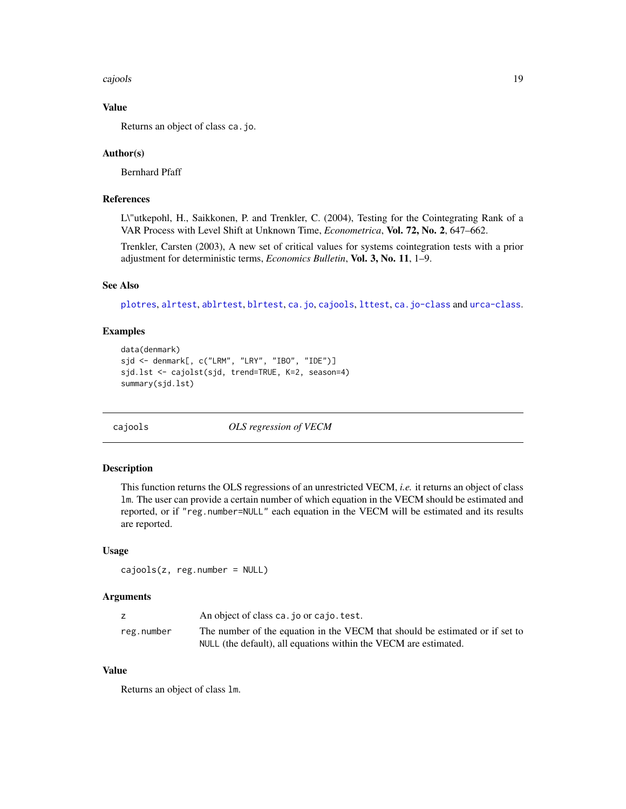<span id="page-18-0"></span>cajools 19

# Value

Returns an object of class ca.jo.

#### Author(s)

Bernhard Pfaff

# References

L\"utkepohl, H., Saikkonen, P. and Trenkler, C. (2004), Testing for the Cointegrating Rank of a VAR Process with Level Shift at Unknown Time, *Econometrica*, Vol. 72, No. 2, 647–662.

Trenkler, Carsten (2003), A new set of critical values for systems cointegration tests with a prior adjustment for deterministic terms, *Economics Bulletin*, Vol. 3, No. 11, 1–9.

# See Also

[plotres](#page-30-1), [alrtest](#page-4-1), [ablrtest](#page-2-1), [blrtest](#page-8-1), [ca.jo](#page-9-1), [cajools](#page-18-1), [lttest](#page-23-1), [ca.jo-class](#page-11-1) and [urca-class](#page-56-1).

# Examples

```
data(denmark)
sjd <- denmark[, c("LRM", "LRY", "IBO", "IDE")]
sjd.lst <- cajolst(sjd, trend=TRUE, K=2, season=4)
summary(sjd.lst)
```
<span id="page-18-1"></span>cajools *OLS regression of VECM*

#### Description

This function returns the OLS regressions of an unrestricted VECM, *i.e.* it returns an object of class lm. The user can provide a certain number of which equation in the VECM should be estimated and reported, or if "reg.number=NULL" each equation in the VECM will be estimated and its results are reported.

#### Usage

 $cajools(z, reg_number = NULL)$ 

#### Arguments

|            | An object of class ca. jo or cajo. test.                                     |
|------------|------------------------------------------------------------------------------|
| reg.number | The number of the equation in the VECM that should be estimated or if set to |
|            | NULL (the default), all equations within the VECM are estimated.             |

# Value

Returns an object of class lm.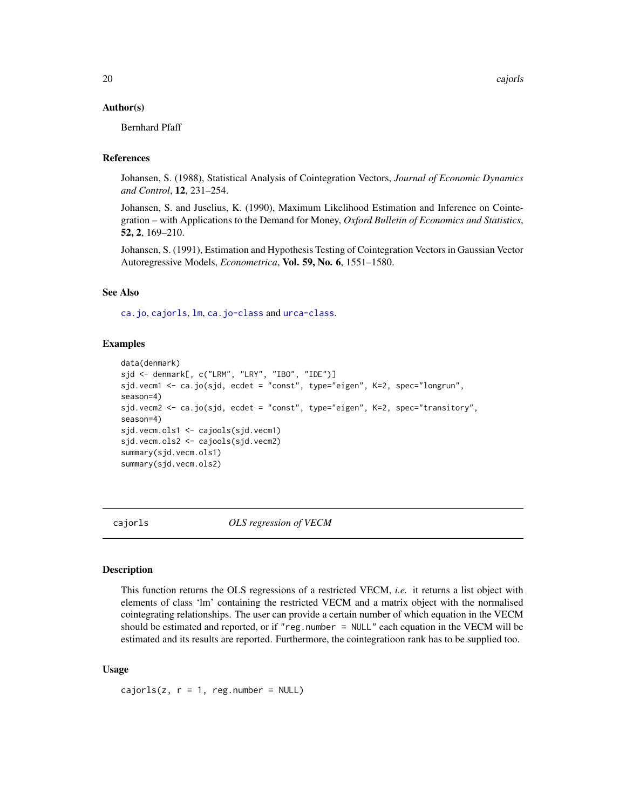#### <span id="page-19-0"></span>Author(s)

Bernhard Pfaff

# References

Johansen, S. (1988), Statistical Analysis of Cointegration Vectors, *Journal of Economic Dynamics and Control*, 12, 231–254.

Johansen, S. and Juselius, K. (1990), Maximum Likelihood Estimation and Inference on Cointegration – with Applications to the Demand for Money, *Oxford Bulletin of Economics and Statistics*, 52, 2, 169–210.

Johansen, S. (1991), Estimation and Hypothesis Testing of Cointegration Vectors in Gaussian Vector Autoregressive Models, *Econometrica*, Vol. 59, No. 6, 1551–1580.

# See Also

[ca.jo](#page-9-1), [cajorls](#page-19-1), [lm](#page-0-0), [ca.jo-class](#page-11-1) and [urca-class](#page-56-1).

#### Examples

```
data(denmark)
sjd <- denmark[, c("LRM", "LRY", "IBO", "IDE")]
sjd.vecm1 <- ca.jo(sjd, ecdet = "const", type="eigen", K=2, spec="longrun",
season=4)
sjd.vecm2 <- ca.jo(sjd, ecdet = "const", type="eigen", K=2, spec="transitory",
season=4)
sjd.vecm.ols1 <- cajools(sjd.vecm1)
sjd.vecm.ols2 <- cajools(sjd.vecm2)
summary(sjd.vecm.ols1)
summary(sjd.vecm.ols2)
```
<span id="page-19-1"></span>cajorls *OLS regression of VECM*

#### Description

This function returns the OLS regressions of a restricted VECM, *i.e.* it returns a list object with elements of class 'lm' containing the restricted VECM and a matrix object with the normalised cointegrating relationships. The user can provide a certain number of which equation in the VECM should be estimated and reported, or if "reg.number = NULL" each equation in the VECM will be estimated and its results are reported. Furthermore, the cointegratioon rank has to be supplied too.

#### Usage

cajorls(z,  $r = 1$ , reg.number = NULL)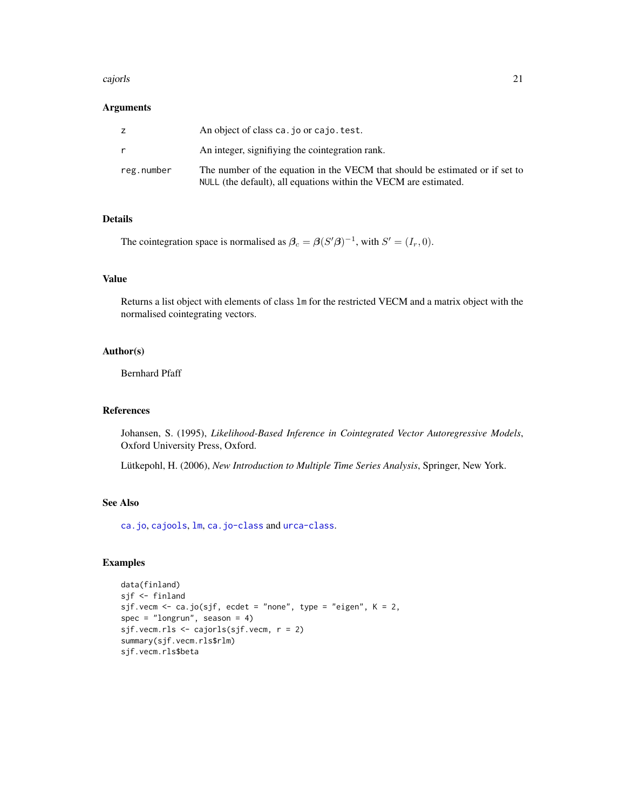#### <span id="page-20-0"></span>cajorls 21

# Arguments

|            | An object of class ca. jo or cajo. test.                                                                                                         |
|------------|--------------------------------------------------------------------------------------------------------------------------------------------------|
|            | An integer, signifiving the cointegration rank.                                                                                                  |
| reg.number | The number of the equation in the VECM that should be estimated or if set to<br>NULL (the default), all equations within the VECM are estimated. |

# Details

The cointegration space is normalised as  $\beta_c = \beta (S' \beta)^{-1}$ , with  $S' = (I_r, 0)$ .

#### Value

Returns a list object with elements of class lm for the restricted VECM and a matrix object with the normalised cointegrating vectors.

# Author(s)

Bernhard Pfaff

# References

Johansen, S. (1995), *Likelihood-Based Inference in Cointegrated Vector Autoregressive Models*, Oxford University Press, Oxford.

Lütkepohl, H. (2006), *New Introduction to Multiple Time Series Analysis*, Springer, New York.

# See Also

[ca.jo](#page-9-1), [cajools](#page-18-1), [lm](#page-0-0), [ca.jo-class](#page-11-1) and [urca-class](#page-56-1).

#### Examples

```
data(finland)
sjf <- finland
sjf.vecm <- ca.jo(sjf, ecdet = "none", type = "eigen", K = 2,
spec = "longrun", season = 4)
sjf.vecm.rls <- cajorls(sjf.vecm, r = 2)
summary(sjf.vecm.rls$rlm)
sjf.vecm.rls$beta
```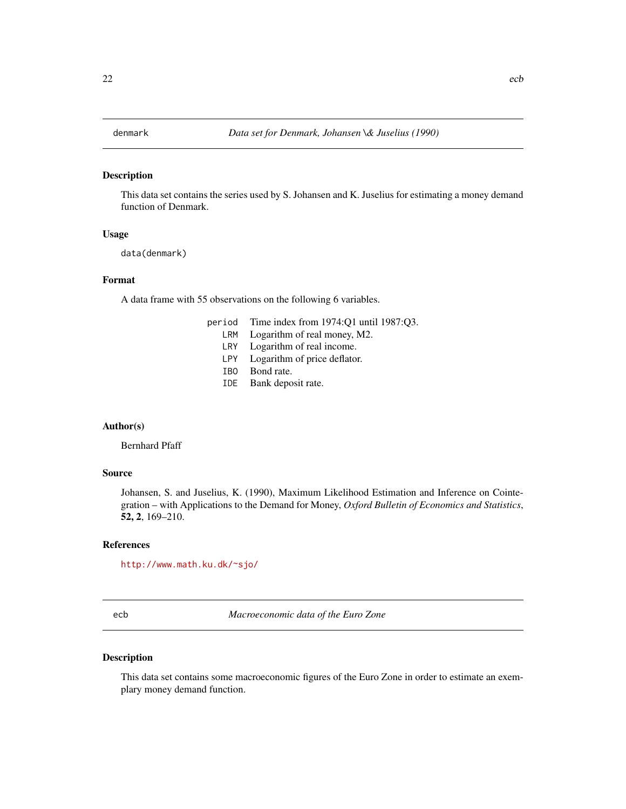#### <span id="page-21-0"></span>Description

This data set contains the series used by S. Johansen and K. Juselius for estimating a money demand function of Denmark.

#### Usage

data(denmark)

# Format

A data frame with 55 observations on the following 6 variables.

- period Time index from 1974:Q1 until 1987:Q3.
	- LRM Logarithm of real money, M2.
	- LRY Logarithm of real income.
	- LPY Logarithm of price deflator.
	- IBO Bond rate.
	- IDE Bank deposit rate.

#### Author(s)

Bernhard Pfaff

# Source

Johansen, S. and Juselius, K. (1990), Maximum Likelihood Estimation and Inference on Cointegration – with Applications to the Demand for Money, *Oxford Bulletin of Economics and Statistics*, 52, 2, 169–210.

#### References

<http://www.math.ku.dk/~sjo/>

ecb *Macroeconomic data of the Euro Zone*

# Description

This data set contains some macroeconomic figures of the Euro Zone in order to estimate an exemplary money demand function.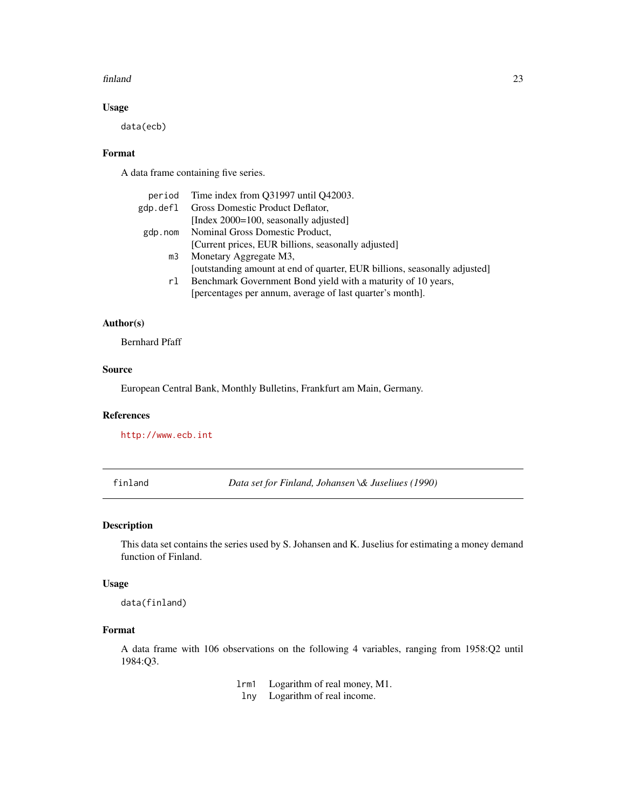#### <span id="page-22-0"></span>finland 23

# Usage

data(ecb)

# Format

A data frame containing five series.

| period         | Time index from Q31997 until Q42003.                                      |
|----------------|---------------------------------------------------------------------------|
| gdp.defl       | Gross Domestic Product Deflator,                                          |
|                | [Index 2000=100, seasonally adjusted]                                     |
| gdp.nom        | Nominal Gross Domestic Product,                                           |
|                | [Current prices, EUR billions, seasonally adjusted]                       |
| m <sub>3</sub> | Monetary Aggregate M3,                                                    |
|                | [outstanding amount at end of quarter, EUR billions, seasonally adjusted] |
| rl             | Benchmark Government Bond yield with a maturity of 10 years,              |
|                | [percentages per annum, average of last quarter's month].                 |

# Author(s)

Bernhard Pfaff

#### Source

European Central Bank, Monthly Bulletins, Frankfurt am Main, Germany.

# References

<http://www.ecb.int>

finland *Data set for Finland, Johansen \& Juseliues (1990)*

# Description

This data set contains the series used by S. Johansen and K. Juselius for estimating a money demand function of Finland.

# Usage

data(finland)

# Format

A data frame with 106 observations on the following 4 variables, ranging from 1958:Q2 until 1984:Q3.

lrm1 Logarithm of real money, M1.

lny Logarithm of real income.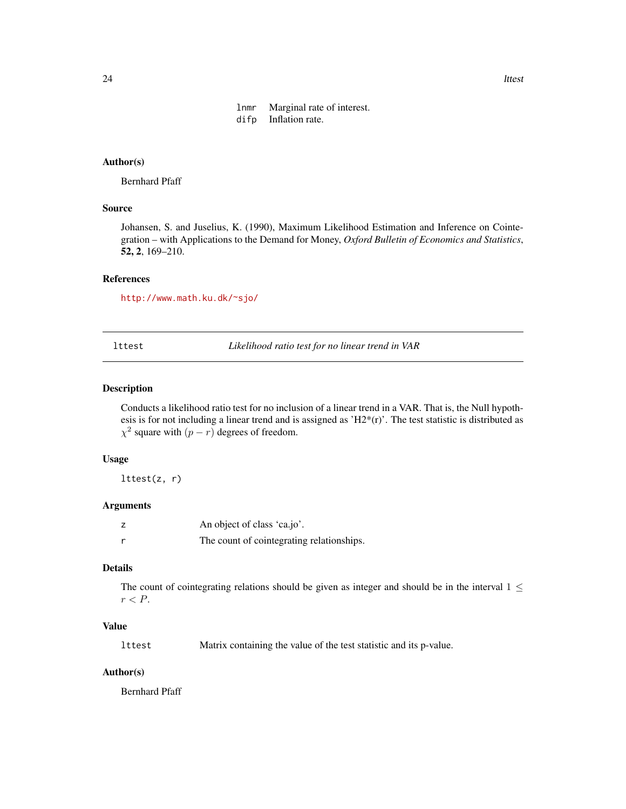lnmr Marginal rate of interest. difp Inflation rate.

# <span id="page-23-0"></span>Author(s)

Bernhard Pfaff

# Source

Johansen, S. and Juselius, K. (1990), Maximum Likelihood Estimation and Inference on Cointegration – with Applications to the Demand for Money, *Oxford Bulletin of Economics and Statistics*, 52, 2, 169–210.

#### References

<http://www.math.ku.dk/~sjo/>

<span id="page-23-1"></span>lttest *Likelihood ratio test for no linear trend in VAR*

# Description

Conducts a likelihood ratio test for no inclusion of a linear trend in a VAR. That is, the Null hypothesis is for not including a linear trend and is assigned as ' $H2*(r)$ '. The test statistic is distributed as  $\chi^2$  square with  $(p - r)$  degrees of freedom.

#### Usage

lttest(z, r)

# Arguments

| An object of class 'ca.jo'.               |
|-------------------------------------------|
| The count of cointegrating relationships. |

# Details

The count of cointegrating relations should be given as integer and should be in the interval  $1 \leq$  $r < P$ .

# Value

lttest Matrix containing the value of the test statistic and its p-value.

#### Author(s)

Bernhard Pfaff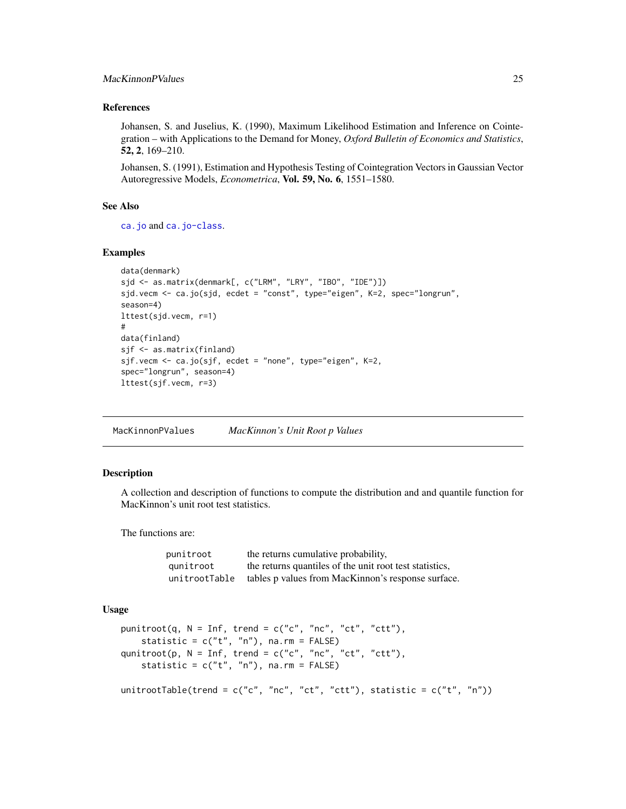# <span id="page-24-0"></span>MacKinnonPValues 25

#### References

Johansen, S. and Juselius, K. (1990), Maximum Likelihood Estimation and Inference on Cointegration – with Applications to the Demand for Money, *Oxford Bulletin of Economics and Statistics*, 52, 2, 169–210.

Johansen, S. (1991), Estimation and Hypothesis Testing of Cointegration Vectors in Gaussian Vector Autoregressive Models, *Econometrica*, Vol. 59, No. 6, 1551–1580.

#### See Also

[ca.jo](#page-9-1) and [ca.jo-class](#page-11-1).

#### Examples

```
data(denmark)
sjd <- as.matrix(denmark[, c("LRM", "LRY", "IBO", "IDE")])
sjd.vecm <- ca.jo(sjd, ecdet = "const", type="eigen", K=2, spec="longrun",
season=4)
lttest(sjd.vecm, r=1)
#
data(finland)
sjf <- as.matrix(finland)
sjf.vecm <- ca.jo(sjf, ecdet = "none", type="eigen", K=2,
spec="longrun", season=4)
lttest(sjf.vecm, r=3)
```
MacKinnonPValues *MacKinnon's Unit Root p Values*

#### Description

A collection and description of functions to compute the distribution and and quantile function for MacKinnon's unit root test statistics.

The functions are:

| punitroot     | the returns cumulative probability,                     |
|---------------|---------------------------------------------------------|
| aunitroot     | the returns quantiles of the unit root test statistics. |
| unitrootTable | tables p values from MacKinnon's response surface.      |

#### Usage

```
punitroot(q, N = Inf, trend = c("c", "nc", "ct", "ctt"),
    statistic = c("t", "n"), na.rm = FALSE)qunitroot(p, N = Inf, trend = c("c", "nc", "ct", "ctt"),
    statistic = c("t", "n"), na.rm = FALSE)
```
unitrootTable(trend =  $c("c", "nc", "ct", "ct"),$  statistic =  $c("t", "n"))$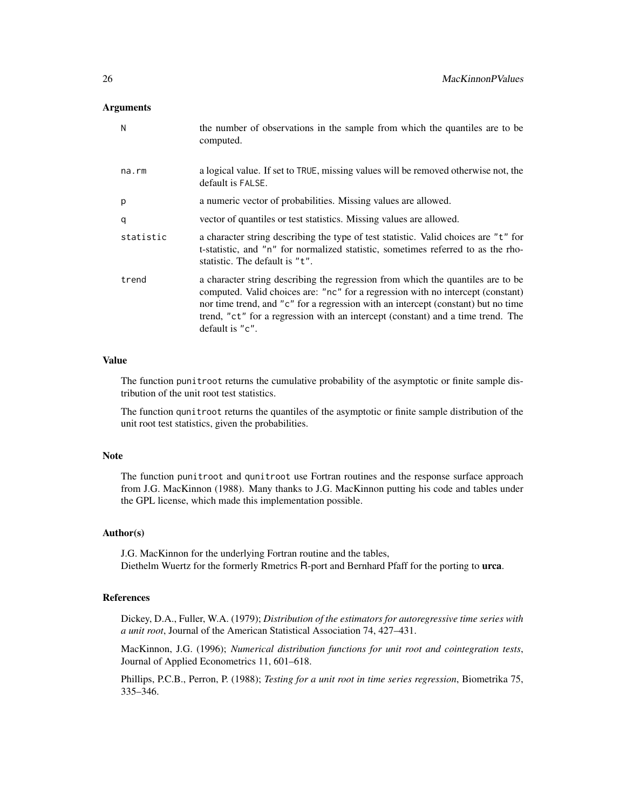#### Arguments

| N         | the number of observations in the sample from which the quantiles are to be<br>computed.                                                                                                                                                                                                                                                                      |
|-----------|---------------------------------------------------------------------------------------------------------------------------------------------------------------------------------------------------------------------------------------------------------------------------------------------------------------------------------------------------------------|
| na.rm     | a logical value. If set to TRUE, missing values will be removed otherwise not, the<br>default is FALSE.                                                                                                                                                                                                                                                       |
| p         | a numeric vector of probabilities. Missing values are allowed.                                                                                                                                                                                                                                                                                                |
| q         | vector of quantiles or test statistics. Missing values are allowed.                                                                                                                                                                                                                                                                                           |
| statistic | a character string describing the type of test statistic. Valid choices are "t" for<br>t-statistic, and "n" for normalized statistic, sometimes referred to as the rho-<br>statistic. The default is "t".                                                                                                                                                     |
| trend     | a character string describing the regression from which the quantiles are to be<br>computed. Valid choices are: "nc" for a regression with no intercept (constant)<br>nor time trend, and "c" for a regression with an intercept (constant) but no time<br>trend, "ct" for a regression with an intercept (constant) and a time trend. The<br>default is "c". |

# Value

The function punitroot returns the cumulative probability of the asymptotic or finite sample distribution of the unit root test statistics.

The function qunitroot returns the quantiles of the asymptotic or finite sample distribution of the unit root test statistics, given the probabilities.

#### Note

The function punitroot and qunitroot use Fortran routines and the response surface approach from J.G. MacKinnon (1988). Many thanks to J.G. MacKinnon putting his code and tables under the GPL license, which made this implementation possible.

#### Author(s)

J.G. MacKinnon for the underlying Fortran routine and the tables, Diethelm Wuertz for the formerly Rmetrics R-port and Bernhard Pfaff for the porting to urca.

#### References

Dickey, D.A., Fuller, W.A. (1979); *Distribution of the estimators for autoregressive time series with a unit root*, Journal of the American Statistical Association 74, 427–431.

MacKinnon, J.G. (1996); *Numerical distribution functions for unit root and cointegration tests*, Journal of Applied Econometrics 11, 601–618.

Phillips, P.C.B., Perron, P. (1988); *Testing for a unit root in time series regression*, Biometrika 75, 335–346.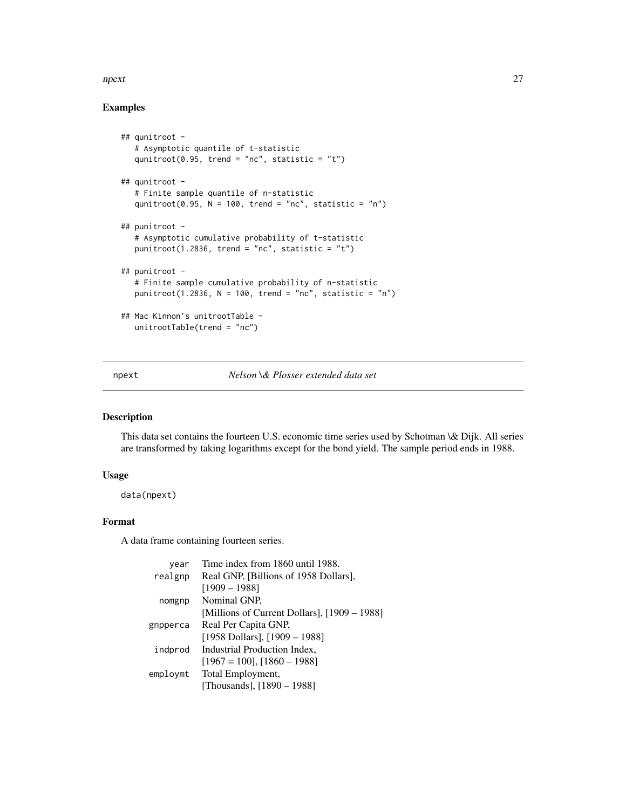#### <span id="page-26-0"></span>npext 27

# Examples

```
## qunitroot -
  # Asymptotic quantile of t-statistic
  qunitroot(0.95, trend = "nc", statistic = "t")
## qunitroot -
  # Finite sample quantile of n-statistic
  qunitroot(0.95, N = 100, trend = "nc", statistic = "n")
## punitroot -
  # Asymptotic cumulative probability of t-statistic
  punitroot(1.2836, trend = "nc", statistic = "t")
## punitroot -
  # Finite sample cumulative probability of n-statistic
  punitroot(1.2836, N = 100, trend = "nc", statistic = "n")
## Mac Kinnon's unitrootTable -
  unitrootTable(trend = "nc")
```
npext *Nelson \& Plosser extended data set*

# Description

This data set contains the fourteen U.S. economic time series used by Schotman \& Dijk. All series are transformed by taking logarithms except for the bond yield. The sample period ends in 1988.

#### Usage

data(npext)

# Format

A data frame containing fourteen series.

| year     | Time index from 1860 until 1988.             |
|----------|----------------------------------------------|
| realgnp  | Real GNP, [Billions of 1958 Dollars],        |
|          | $[1909 - 1988]$                              |
| nomgnp   | Nominal GNP.                                 |
|          | [Millions of Current Dollars], [1909 – 1988] |
| gnpperca | Real Per Capita GNP,                         |
|          | [1958 Dollars], $[1909 - 1988]$              |
| indprod  | Industrial Production Index,                 |
|          | $[1967 = 100]$ , $[1860 - 1988]$             |
| employmt | Total Employment,                            |
|          | [Thousands], [1890 – 1988]                   |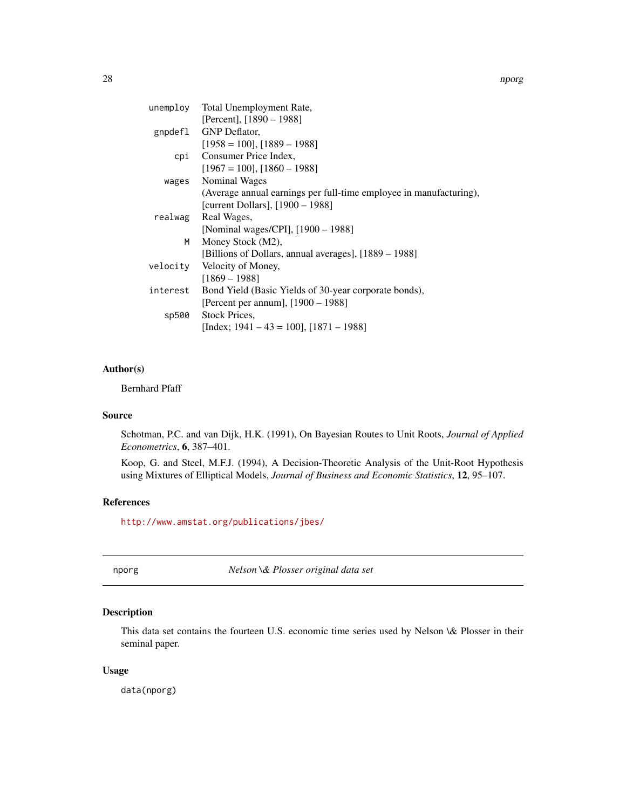<span id="page-27-0"></span>

|          | unemploy Total Unemployment Rate,                                  |
|----------|--------------------------------------------------------------------|
|          | [Percent], [1890 – 1988]                                           |
|          | gnpdef1 GNP Deflator,                                              |
|          | $[1958 = 100]$ , $[1889 - 1988]$                                   |
|          | cpi Consumer Price Index,                                          |
|          | $[1967 = 100]$ , $[1860 - 1988]$                                   |
|          | wages Nominal Wages                                                |
|          | (Average annual earnings per full-time employee in manufacturing), |
|          | [current Dollars], [1900 – 1988]                                   |
| realwag  | Real Wages,                                                        |
|          | [Nominal wages/CPI], [1900 – 1988]                                 |
| M        | Money Stock (M2),                                                  |
|          | [Billions of Dollars, annual averages], [1889 – 1988]              |
| velocity | Velocity of Money,                                                 |
|          | $[1869 - 1988]$                                                    |
| interest | Bond Yield (Basic Yields of 30-year corporate bonds),              |
|          | [Percent per annum], $[1900 - 1988]$                               |
| sp500    | Stock Prices.                                                      |
|          | [Index; $1941 - 43 = 100$ ], $[1871 - 1988]$                       |

#### Author(s)

Bernhard Pfaff

### Source

Schotman, P.C. and van Dijk, H.K. (1991), On Bayesian Routes to Unit Roots, *Journal of Applied Econometrics*, 6, 387–401.

Koop, G. and Steel, M.F.J. (1994), A Decision-Theoretic Analysis of the Unit-Root Hypothesis using Mixtures of Elliptical Models, *Journal of Business and Economic Statistics*, 12, 95–107.

# References

<http://www.amstat.org/publications/jbes/>

nporg *Nelson \& Plosser original data set*

# Description

This data set contains the fourteen U.S. economic time series used by Nelson \& Plosser in their seminal paper.

#### Usage

data(nporg)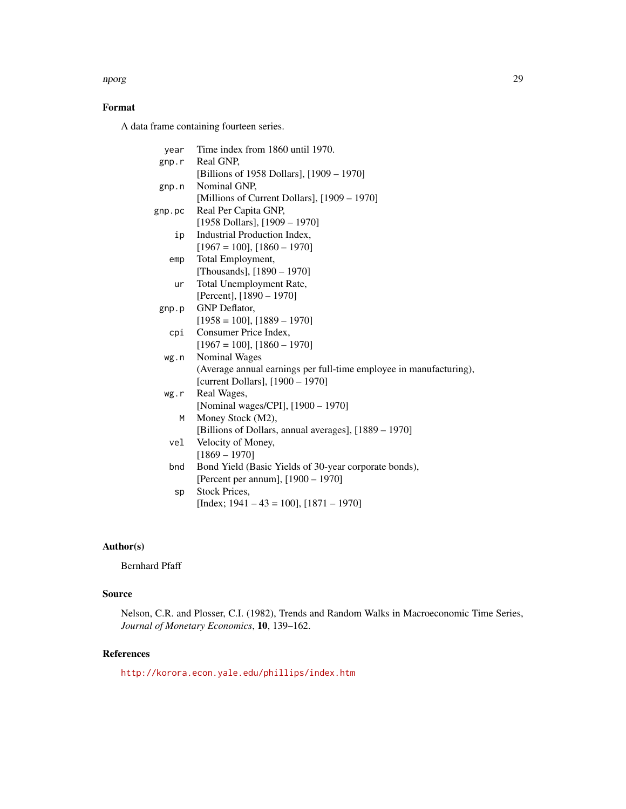#### nporg 29

# Format

A data frame containing fourteen series.

| year     | Time index from 1860 until 1970.                                   |
|----------|--------------------------------------------------------------------|
| $g$ np.r | Real GNP,                                                          |
|          | [Billions of 1958 Dollars], [1909 – 1970]                          |
| $g$ np.n | Nominal GNP.                                                       |
|          | [Millions of Current Dollars], [1909 – 1970]                       |
| gnp.pc   | Real Per Capita GNP,                                               |
|          | [1958 Dollars], $[1909 - 1970]$                                    |
| ip       | Industrial Production Index,                                       |
|          | $[1967 = 100]$ , $[1860 - 1970]$                                   |
| emp      | Total Employment,                                                  |
|          | [Thousands], [1890 - 1970]                                         |
| ur       | Total Unemployment Rate,                                           |
|          | [Percent], $[1890 - 1970]$                                         |
| $g$ np.p | <b>GNP</b> Deflator,                                               |
|          | $[1958 = 100]$ , $[1889 - 1970]$                                   |
| cpi      | Consumer Price Index,                                              |
|          | $[1967 = 100]$ , $[1860 - 1970]$                                   |
| wg.n     | <b>Nominal Wages</b>                                               |
|          | (Average annual earnings per full-time employee in manufacturing), |
|          | [current Dollars], [1900 - 1970]                                   |
| wg.r     | Real Wages,                                                        |
|          | [Nominal wages/CPI], [1900 - 1970]                                 |
| М        | Money Stock (M2),                                                  |
|          | [Billions of Dollars, annual averages], [1889 – 1970]              |
| vel      | Velocity of Money,                                                 |
|          | $[1869 - 1970]$                                                    |
| bnd      | Bond Yield (Basic Yields of 30-year corporate bonds),              |
|          | [Percent per annum], [1900 - 1970]                                 |
| sp       | <b>Stock Prices,</b>                                               |
|          | [Index; $1941 - 43 = 100$ ], $[1871 - 1970]$                       |
|          |                                                                    |

# Author(s)

Bernhard Pfaff

# Source

Nelson, C.R. and Plosser, C.I. (1982), Trends and Random Walks in Macroeconomic Time Series, *Journal of Monetary Economics*, 10, 139–162.

# References

<http://korora.econ.yale.edu/phillips/index.htm>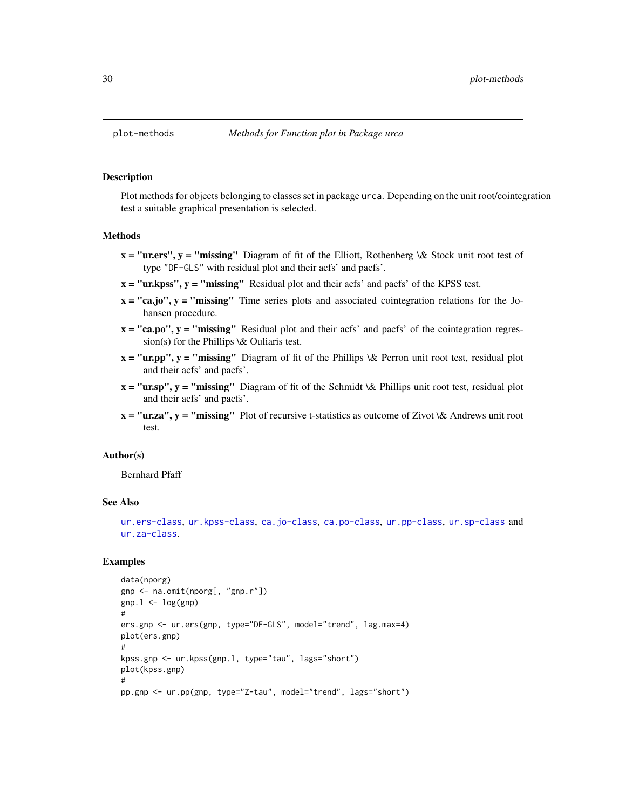#### **Description**

Plot methods for objects belonging to classes set in package urca. Depending on the unit root/cointegration test a suitable graphical presentation is selected.

# Methods

- $x = "u$ . **First**,  $y = "missing"$  Diagram of fit of the Elliott, Rothenberg  $\&$  Stock unit root test oftype "DF-GLS" with residual plot and their acfs' and pacfs'.
- $x = "ur.kpss", y = "missing"$  Residual plot and their acfs' and pacfs' of the KPSS test.
- $x = "ca.jo", y = "missing"$  Time series plots and associated cointegration relations for the Johansen procedure.
- $x = "ca.po", y = "missing"$  Residual plot and their acfs' and pacfs' of the cointegration regression(s) for the Phillips  $\&$  Ouliaris test.
- $x = "ur.pp", y = "missing"$  Diagram of fit of the Phillips \& Perron unit root test, residual plot and their acfs' and pacfs'.
- $x = "ursp", y = "missing" Diagram of fit of the Schmidt \& Phillips unit root test, residual plot$ and their acfs' and pacfs'.
- $x = "ur.za", y = "missing"$  Plot of recursive t-statistics as outcome of Zivot \& Andrews unit root test.

#### Author(s)

Bernhard Pfaff

#### See Also

[ur.ers-class](#page-46-1), [ur.kpss-class](#page-48-1), [ca.jo-class](#page-11-1), [ca.po-class](#page-14-1), [ur.pp-class](#page-50-1), [ur.sp-class](#page-53-1) and [ur.za-class](#page-55-1).

# Examples

```
data(nporg)
gnp <- na.omit(nporg[, "gnp.r"])
gnp.1 \leftarrow log(gnp)#
ers.gnp <- ur.ers(gnp, type="DF-GLS", model="trend", lag.max=4)
plot(ers.gnp)
#
kpss.gnp <- ur.kpss(gnp.l, type="tau", lags="short")
plot(kpss.gnp)
#
pp.gnp <- ur.pp(gnp, type="Z-tau", model="trend", lags="short")
```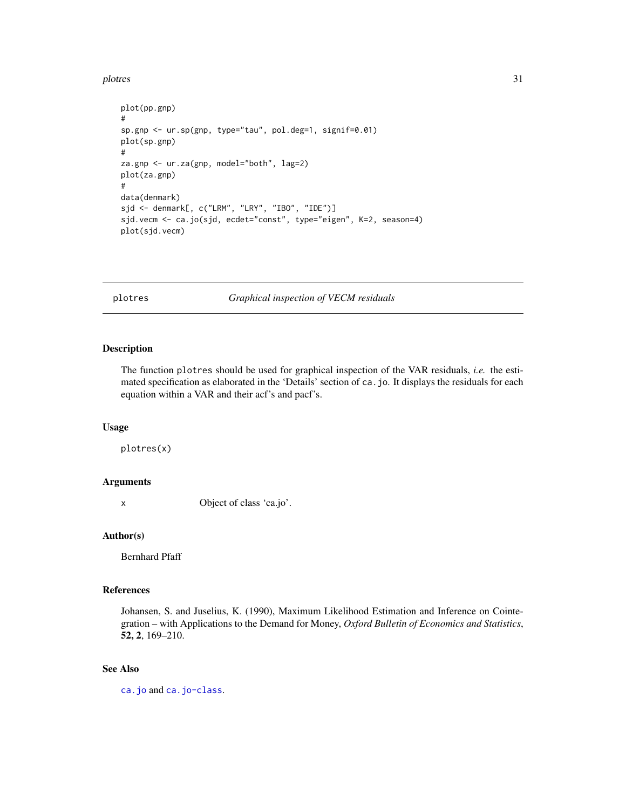#### <span id="page-30-0"></span>plotres 31

```
plot(pp.gnp)
#
sp.gnp <- ur.sp(gnp, type="tau", pol.deg=1, signif=0.01)
plot(sp.gnp)
#
za.gnp <- ur.za(gnp, model="both", lag=2)
plot(za.gnp)
#
data(denmark)
sjd <- denmark[, c("LRM", "LRY", "IBO", "IDE")]
sjd.vecm <- ca.jo(sjd, ecdet="const", type="eigen", K=2, season=4)
plot(sjd.vecm)
```
<span id="page-30-1"></span>plotres *Graphical inspection of VECM residuals*

# Description

The function plotres should be used for graphical inspection of the VAR residuals, *i.e.* the estimated specification as elaborated in the 'Details' section of ca.jo. It displays the residuals for each equation within a VAR and their acf's and pacf's.

# Usage

plotres(x)

#### Arguments

x Object of class 'ca.jo'.

#### Author(s)

Bernhard Pfaff

# References

Johansen, S. and Juselius, K. (1990), Maximum Likelihood Estimation and Inference on Cointegration – with Applications to the Demand for Money, *Oxford Bulletin of Economics and Statistics*, 52, 2, 169–210.

## See Also

[ca.jo](#page-9-1) and [ca.jo-class](#page-11-1).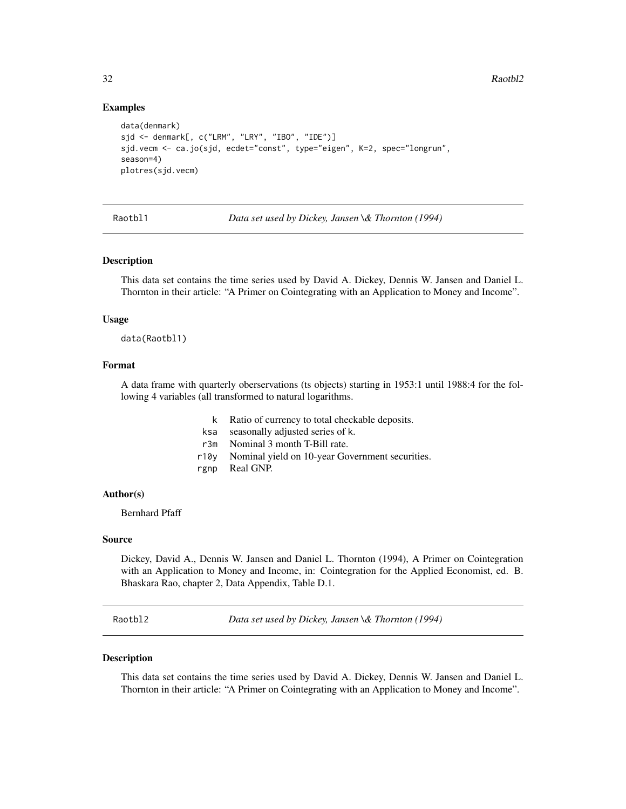# Examples

```
data(denmark)
sjd <- denmark[, c("LRM", "LRY", "IBO", "IDE")]
sjd.vecm <- ca.jo(sjd, ecdet="const", type="eigen", K=2, spec="longrun",
season=4)
plotres(sjd.vecm)
```
Raotbl1 *Data set used by Dickey, Jansen \& Thornton (1994)*

#### Description

This data set contains the time series used by David A. Dickey, Dennis W. Jansen and Daniel L. Thornton in their article: "A Primer on Cointegrating with an Application to Money and Income".

#### Usage

data(Raotbl1)

# Format

A data frame with quarterly oberservations (ts objects) starting in 1953:1 until 1988:4 for the following 4 variables (all transformed to natural logarithms.

- k Ratio of currency to total checkable deposits.
- ksa seasonally adjusted series of k.
- r3m Nominal 3 month T-Bill rate.
- r10y Nominal yield on 10-year Government securities.
- rgnp Real GNP.

# Author(s)

Bernhard Pfaff

# Source

Dickey, David A., Dennis W. Jansen and Daniel L. Thornton (1994), A Primer on Cointegration with an Application to Money and Income, in: Cointegration for the Applied Economist, ed. B. Bhaskara Rao, chapter 2, Data Appendix, Table D.1.

Raotbl2 *Data set used by Dickey, Jansen \& Thornton (1994)*

# **Description**

This data set contains the time series used by David A. Dickey, Dennis W. Jansen and Daniel L. Thornton in their article: "A Primer on Cointegrating with an Application to Money and Income".

<span id="page-31-0"></span>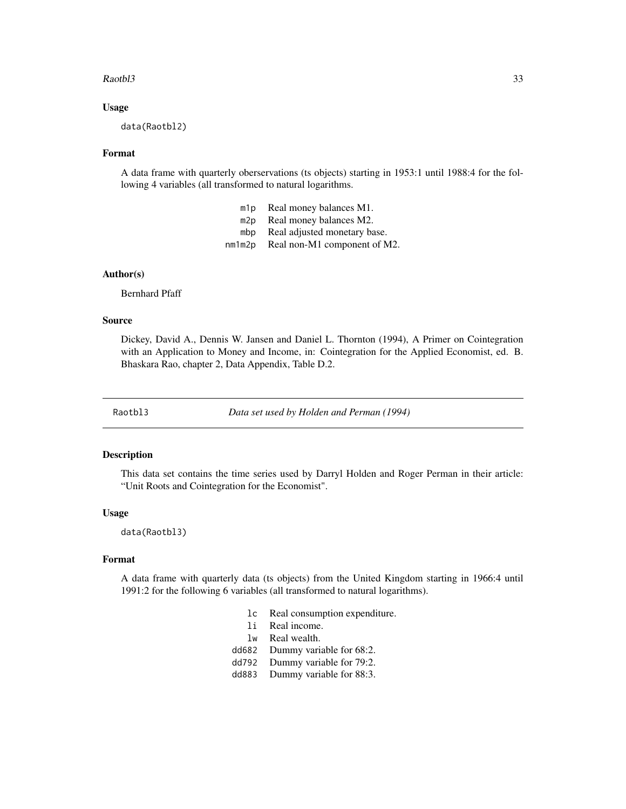#### <span id="page-32-0"></span>Raotbl3 33

#### Usage

data(Raotbl2)

#### Format

A data frame with quarterly oberservations (ts objects) starting in 1953:1 until 1988:4 for the following 4 variables (all transformed to natural logarithms.

| m1p | Real money balances M1.             |
|-----|-------------------------------------|
| m2p | Real money balances M2.             |
| mbp | Real adjusted monetary base.        |
|     | nm1m2p Real non-M1 component of M2. |

#### Author(s)

Bernhard Pfaff

#### Source

Dickey, David A., Dennis W. Jansen and Daniel L. Thornton (1994), A Primer on Cointegration with an Application to Money and Income, in: Cointegration for the Applied Economist, ed. B. Bhaskara Rao, chapter 2, Data Appendix, Table D.2.

Raotbl3 *Data set used by Holden and Perman (1994)*

#### Description

This data set contains the time series used by Darryl Holden and Roger Perman in their article: "Unit Roots and Cointegration for the Economist".

#### Usage

data(Raotbl3)

# Format

A data frame with quarterly data (ts objects) from the United Kingdom starting in 1966:4 until 1991:2 for the following 6 variables (all transformed to natural logarithms).

- lc Real consumption expenditure.
- li Real income.
- lw Real wealth.
- dd682 Dummy variable for 68:2.
- dd792 Dummy variable for 79:2.
- dd883 Dummy variable for 88:3.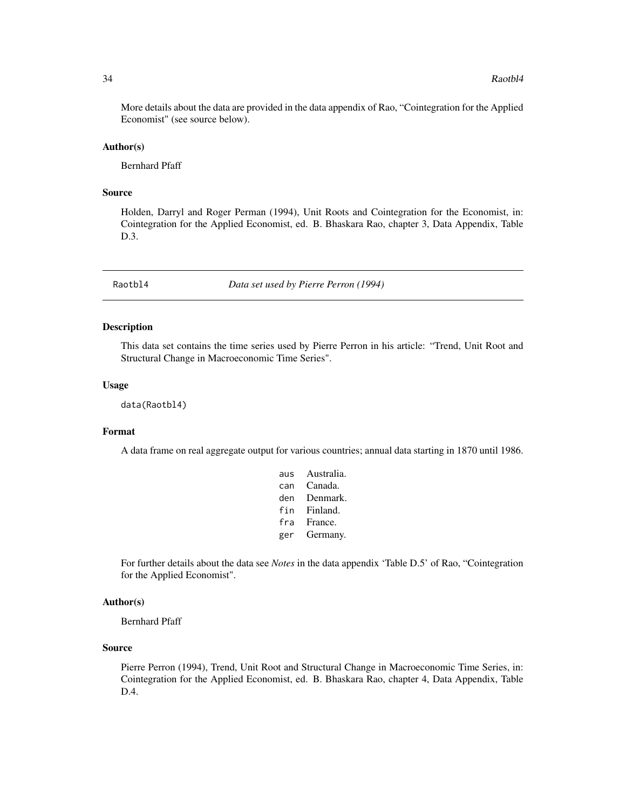<span id="page-33-0"></span>More details about the data are provided in the data appendix of Rao, "Cointegration for the Applied Economist" (see source below).

#### Author(s)

Bernhard Pfaff

#### Source

Holden, Darryl and Roger Perman (1994), Unit Roots and Cointegration for the Economist, in: Cointegration for the Applied Economist, ed. B. Bhaskara Rao, chapter 3, Data Appendix, Table D.3.

Raotbl4 *Data set used by Pierre Perron (1994)*

#### Description

This data set contains the time series used by Pierre Perron in his article: "Trend, Unit Root and Structural Change in Macroeconomic Time Series".

#### Usage

data(Raotbl4)

# Format

A data frame on real aggregate output for various countries; annual data starting in 1870 until 1986.

| aus | Australia. |
|-----|------------|
| can | Canada.    |
| den | Denmark.   |
| fin | Finland.   |
| fra | France.    |
| ger | Germany.   |

For further details about the data see *Notes* in the data appendix 'Table D.5' of Rao, "Cointegration for the Applied Economist".

# Author(s)

Bernhard Pfaff

#### Source

Pierre Perron (1994), Trend, Unit Root and Structural Change in Macroeconomic Time Series, in: Cointegration for the Applied Economist, ed. B. Bhaskara Rao, chapter 4, Data Appendix, Table D.4.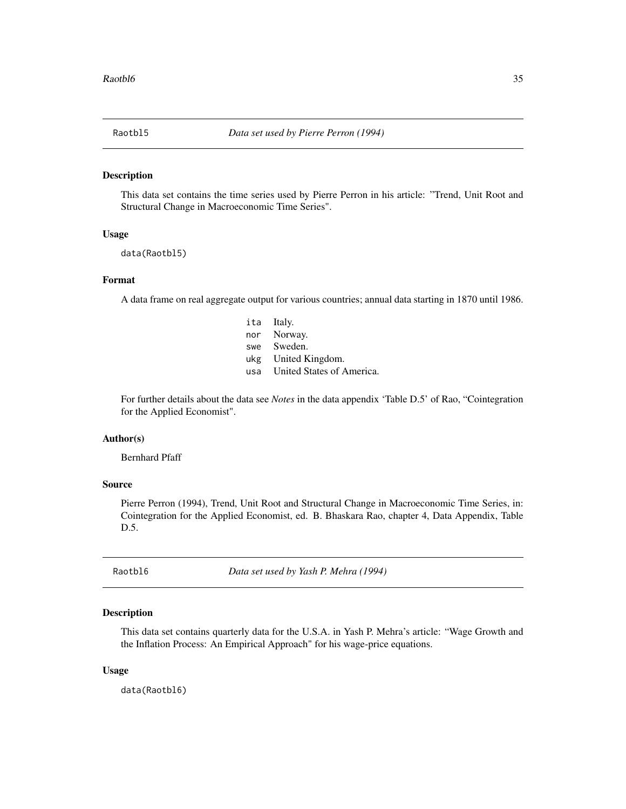<span id="page-34-0"></span>

#### Description

This data set contains the time series used by Pierre Perron in his article: "Trend, Unit Root and Structural Change in Macroeconomic Time Series".

#### Usage

```
data(Raotbl5)
```
# Format

A data frame on real aggregate output for various countries; annual data starting in 1870 until 1986.

| ita Italy.                |
|---------------------------|
| nor Norway.               |
| Sweden.                   |
| ukg United Kingdom.       |
| United States of America. |
|                           |

For further details about the data see *Notes* in the data appendix 'Table D.5' of Rao, "Cointegration for the Applied Economist".

#### Author(s)

Bernhard Pfaff

#### Source

Pierre Perron (1994), Trend, Unit Root and Structural Change in Macroeconomic Time Series, in: Cointegration for the Applied Economist, ed. B. Bhaskara Rao, chapter 4, Data Appendix, Table D.5.

Raotbl6 *Data set used by Yash P. Mehra (1994)*

# Description

This data set contains quarterly data for the U.S.A. in Yash P. Mehra's article: "Wage Growth and the Inflation Process: An Empirical Approach" for his wage-price equations.

#### Usage

data(Raotbl6)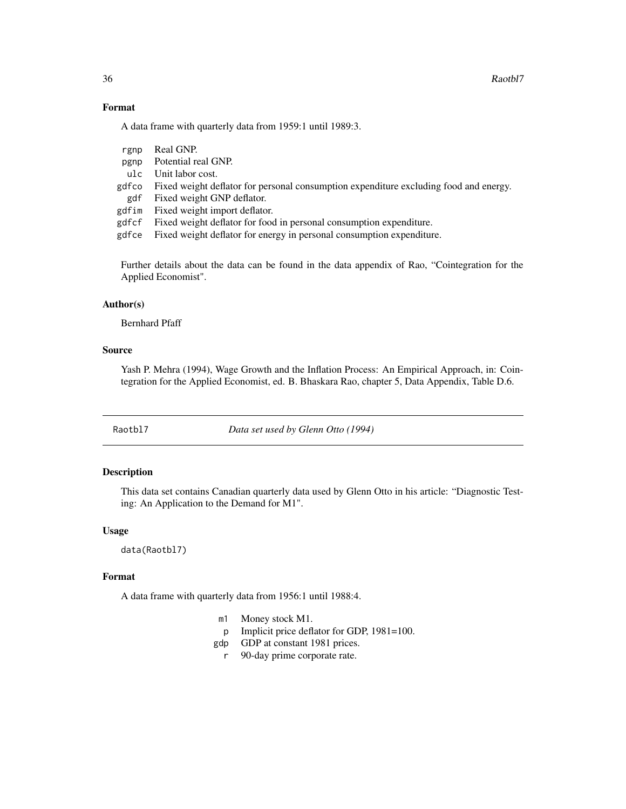# Format

A data frame with quarterly data from 1959:1 until 1989:3.

| rgnp  | Real GNP.                                                                             |
|-------|---------------------------------------------------------------------------------------|
| pgnp  | Potential real GNP.                                                                   |
|       | ulc Unit labor cost.                                                                  |
| gdfco | Fixed weight deflator for personal consumption expenditure excluding food and energy. |
| gdf   | Fixed weight GNP deflator.                                                            |
|       | gdfim Fixed weight import deflator.                                                   |
|       | gdf cf Fixed weight deflator for food in personal consumption expenditure.            |
| gdfce | Fixed weight deflator for energy in personal consumption expenditure.                 |
|       |                                                                                       |

Further details about the data can be found in the data appendix of Rao, "Cointegration for the Applied Economist".

#### Author(s)

Bernhard Pfaff

#### Source

Yash P. Mehra (1994), Wage Growth and the Inflation Process: An Empirical Approach, in: Cointegration for the Applied Economist, ed. B. Bhaskara Rao, chapter 5, Data Appendix, Table D.6.

Raotbl7 *Data set used by Glenn Otto (1994)*

# Description

This data set contains Canadian quarterly data used by Glenn Otto in his article: "Diagnostic Testing: An Application to the Demand for M1".

#### Usage

data(Raotbl7)

#### Format

A data frame with quarterly data from 1956:1 until 1988:4.

- m1 Money stock M1.
- p Implicit price deflator for GDP, 1981=100.
- gdp GDP at constant 1981 prices.
	- r 90-day prime corporate rate.

<span id="page-35-0"></span>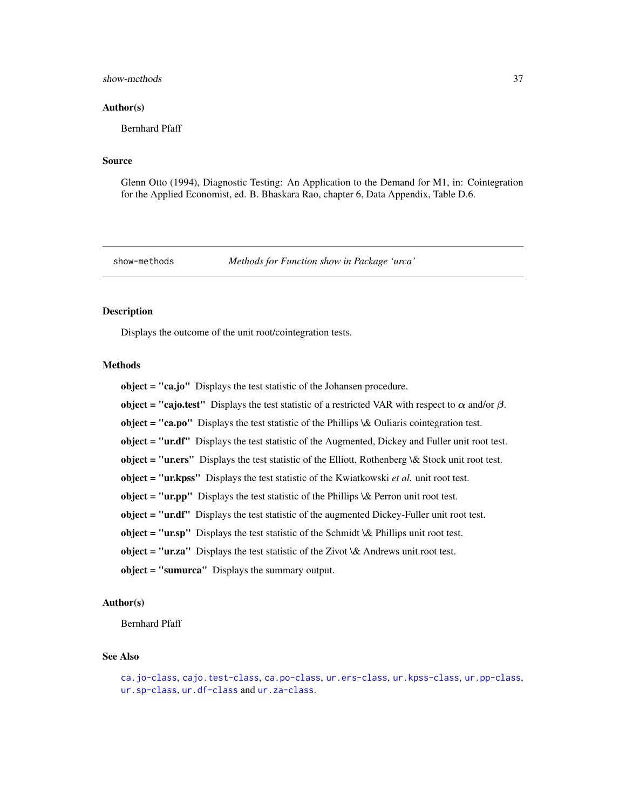#### <span id="page-36-0"></span>show-methods 37

#### Author(s)

Bernhard Pfaff

#### Source

Glenn Otto (1994), Diagnostic Testing: An Application to the Demand for M1, in: Cointegration for the Applied Economist, ed. B. Bhaskara Rao, chapter 6, Data Appendix, Table D.6.

show-methods *Methods for Function show in Package 'urca'*

#### Description

Displays the outcome of the unit root/cointegration tests.

# **Methods**

object = "ca.jo" Displays the test statistic of the Johansen procedure. object = "cajo.test" Displays the test statistic of a restricted VAR with respect to  $\alpha$  and/or  $\beta$ . object = "ca.po" Displays the test statistic of the Phillips  $\&$  Ouliaris cointegration test. object = "ur.df" Displays the test statistic of the Augmented, Dickey and Fuller unit root test. object = "ur.ers" Displays the test statistic of the Elliott, Rothenberg \& Stock unit root test. object = "ur.kpss" Displays the test statistic of the Kwiatkowski *et al.* unit root test. object = "ur.pp" Displays the test statistic of the Phillips  $\&$  Perron unit root test. object = "ur.df" Displays the test statistic of the augmented Dickey-Fuller unit root test. object = "ur.sp" Displays the test statistic of the Schmidt  $\&$  Phillips unit root test. object = "ur.za" Displays the test statistic of the Zivot  $\&$  Andrews unit root test. object = "sumurca" Displays the summary output.

# Author(s)

Bernhard Pfaff

# See Also

```
ca.jo-class, cajo.test-class, ca.po-class, ur.ers-class, ur.kpss-class, ur.pp-class,
ur.sp-class, ur.df-class and ur.za-class.
```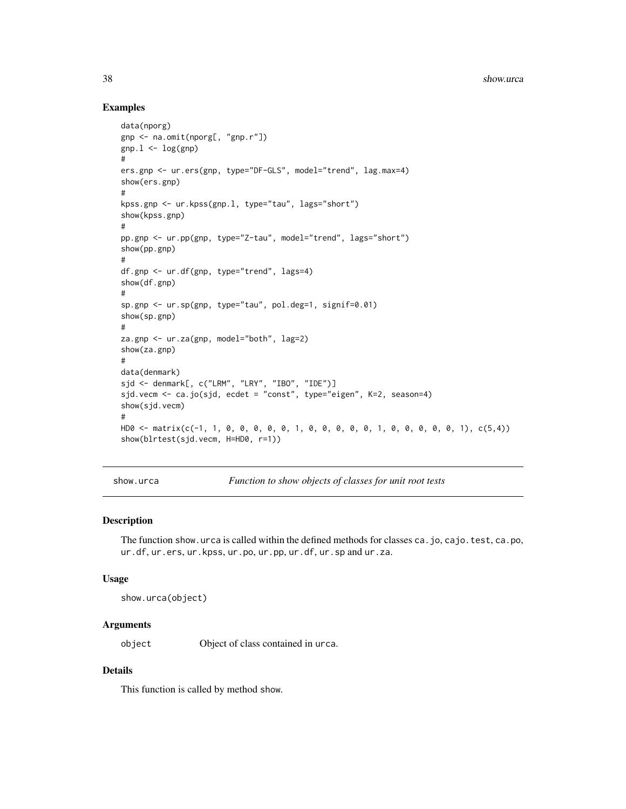# Examples

```
data(nporg)
gnp <- na.omit(nporg[, "gnp.r"])
gnp.1 \leftarrow log(gnp)#
ers.gnp <- ur.ers(gnp, type="DF-GLS", model="trend", lag.max=4)
show(ers.gnp)
#
kpss.gnp <- ur.kpss(gnp.l, type="tau", lags="short")
show(kpss.gnp)
#
pp.gnp <- ur.pp(gnp, type="Z-tau", model="trend", lags="short")
show(pp.gnp)
#
df.gnp <- ur.df(gnp, type="trend", lags=4)
show(df.gnp)
#
sp.gnp <- ur.sp(gnp, type="tau", pol.deg=1, signif=0.01)
show(sp.gnp)
#
za.gnp <- ur.za(gnp, model="both", lag=2)
show(za.gnp)
#
data(denmark)
sjd <- denmark[, c("LRM", "LRY", "IBO", "IDE")]
sjd.vecm <- ca.jo(sjd, ecdet = "const", type="eigen", K=2, season=4)
show(sjd.vecm)
#
HD0 <- matrix(c(-1, 1, 0, 0, 0, 0, 0, 1, 0, 0, 0, 0, 0, 1, 0, 0, 0, 0, 0, 1), c(5,4))
show(blrtest(sjd.vecm, H=HD0, r=1))
```
show.urca *Function to show objects of classes for unit root tests*

# Description

The function show.urca is called within the defined methods for classes ca.jo, cajo.test, ca.po, ur.df, ur.ers, ur.kpss, ur.po, ur.pp, ur.df, ur.sp and ur.za.

#### Usage

```
show.urca(object)
```
#### Arguments

object Object of class contained in urca.

# Details

This function is called by method show.

<span id="page-37-0"></span>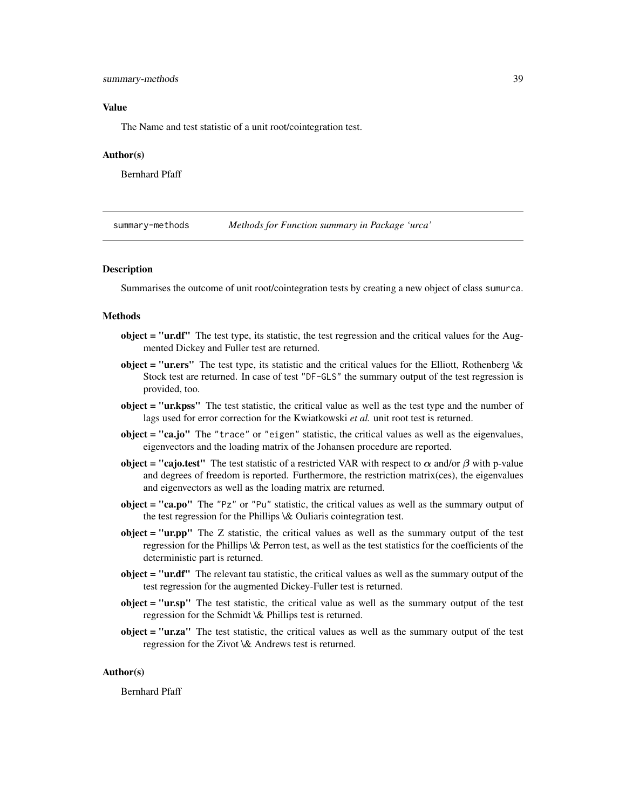## <span id="page-38-0"></span>summary-methods 39

#### Value

The Name and test statistic of a unit root/cointegration test.

#### Author(s)

Bernhard Pfaff

summary-methods *Methods for Function summary in Package 'urca'*

#### <span id="page-38-1"></span>Description

Summarises the outcome of unit root/cointegration tests by creating a new object of class sumurca.

#### Methods

- $object = "ur.df"$  The test type, its statistic, the test regression and the critical values for the Augmented Dickey and Fuller test are returned.
- object = "uners" The test type, its statistic and the critical values for the Elliott, Rothenberg  $\&$ Stock test are returned. In case of test "DF-GLS" the summary output of the test regression is provided, too.
- object = "ur.kpss" The test statistic, the critical value as well as the test type and the number of lags used for error correction for the Kwiatkowski *et al.* unit root test is returned.
- object = "ca.jo" The "trace" or "eigen" statistic, the critical values as well as the eigenvalues, eigenvectors and the loading matrix of the Johansen procedure are reported.
- **object = "cajo.test"** The test statistic of a restricted VAR with respect to  $\alpha$  and/or  $\beta$  with p-value and degrees of freedom is reported. Furthermore, the restriction matrix(ces), the eigenvalues and eigenvectors as well as the loading matrix are returned.
- object = "ca.po" The "Pz" or "Pu" statistic, the critical values as well as the summary output of the test regression for the Phillips \& Ouliaris cointegration test.
- $object = "ur.py"$  The  $Z$  statistic, the critical values as well as the summary output of the test regression for the Phillips \& Perron test, as well as the test statistics for the coefficients of the deterministic part is returned.
- object = "ur.df" The relevant tau statistic, the critical values as well as the summary output of the test regression for the augmented Dickey-Fuller test is returned.
- object = "ur.sp" The test statistic, the critical value as well as the summary output of the test regression for the Schmidt \& Phillips test is returned.
- object = "ur.za" The test statistic, the critical values as well as the summary output of the test regression for the Zivot \& Andrews test is returned.

# Author(s)

Bernhard Pfaff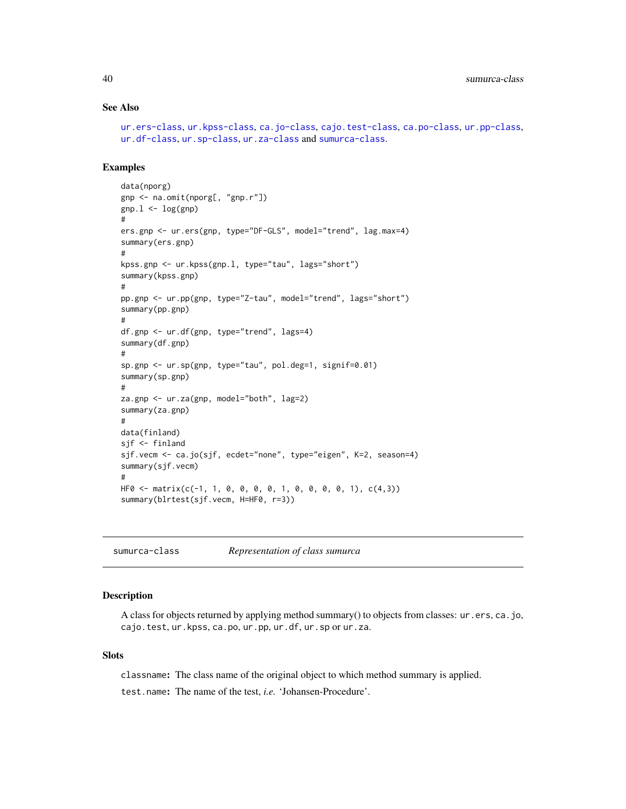# See Also

```
ur.ers-class, ur.kpss-class, ca.jo-class, cajo.test-class, ca.po-class, ur.pp-class,
ur.df-class, ur.sp-class, ur.za-class and sumurca-class.
```
# Examples

```
data(nporg)
gnp <- na.omit(nporg[, "gnp.r"])
gnp.1 \leftarrow log(gnp)#
ers.gnp <- ur.ers(gnp, type="DF-GLS", model="trend", lag.max=4)
summary(ers.gnp)
#
kpss.gnp <- ur.kpss(gnp.l, type="tau", lags="short")
summary(kpss.gnp)
#
pp.gnp <- ur.pp(gnp, type="Z-tau", model="trend", lags="short")
summary(pp.gnp)
#
df.gnp <- ur.df(gnp, type="trend", lags=4)
summary(df.gnp)
#
sp.gnp <- ur.sp(gnp, type="tau", pol.deg=1, signif=0.01)
summary(sp.gnp)
#
za.gnp <- ur.za(gnp, model="both", lag=2)
summary(za.gnp)
#
data(finland)
sjf <- finland
sjf.vecm <- ca.jo(sjf, ecdet="none", type="eigen", K=2, season=4)
summary(sjf.vecm)
#
HF0 <- matrix(c(-1, 1, 0, 0, 0, 0, 1, 0, 0, 0, 0, 1), c(4,3))
summary(blrtest(sjf.vecm, H=HF0, r=3))
```
<span id="page-39-1"></span>sumurca-class *Representation of class sumurca*

#### Description

A class for objects returned by applying method summary() to objects from classes: ur.ers, ca.jo, cajo.test, ur.kpss, ca.po, ur.pp, ur.df, ur.sp or ur.za.

#### **Slots**

classname: The class name of the original object to which method summary is applied.

test.name: The name of the test, *i.e.* 'Johansen-Procedure'.

<span id="page-39-0"></span>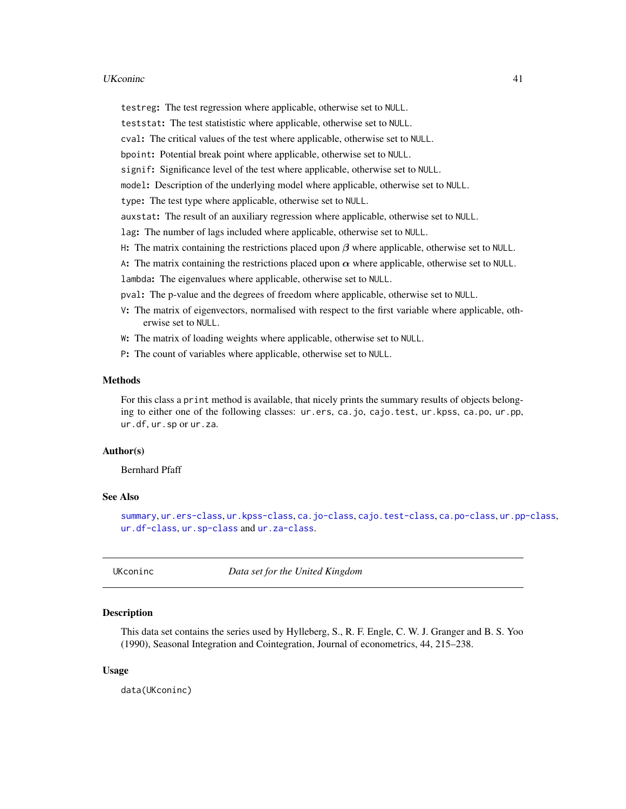#### <span id="page-40-0"></span>UKconinc 41

testreg: The test regression where applicable, otherwise set to NULL.

teststat: The test statististic where applicable, otherwise set to NULL.

cval: The critical values of the test where applicable, otherwise set to NULL.

bpoint: Potential break point where applicable, otherwise set to NULL.

signif: Significance level of the test where applicable, otherwise set to NULL.

model: Description of the underlying model where applicable, otherwise set to NULL.

type: The test type where applicable, otherwise set to NULL.

auxstat: The result of an auxiliary regression where applicable, otherwise set to NULL.

lag: The number of lags included where applicable, otherwise set to NULL.

H: The matrix containing the restrictions placed upon  $\beta$  where applicable, otherwise set to NULL.

A: The matrix containing the restrictions placed upon  $\alpha$  where applicable, otherwise set to NULL.

lambda: The eigenvalues where applicable, otherwise set to NULL.

pval: The p-value and the degrees of freedom where applicable, otherwise set to NULL.

V: The matrix of eigenvectors, normalised with respect to the first variable where applicable, otherwise set to NULL.

W: The matrix of loading weights where applicable, otherwise set to NULL.

P: The count of variables where applicable, otherwise set to NULL.

#### Methods

For this class a print method is available, that nicely prints the summary results of objects belonging to either one of the following classes: ur.ers, ca.jo, cajo.test, ur.kpss, ca.po, ur.pp, ur.df, ur.sp or ur.za.

# Author(s)

Bernhard Pfaff

#### See Also

[summary](#page-38-1), [ur.ers-class](#page-46-1), [ur.kpss-class](#page-48-1), [ca.jo-class](#page-11-1), [cajo.test-class](#page-15-1), [ca.po-class](#page-14-1), [ur.pp-class](#page-50-1), [ur.df-class](#page-44-1), [ur.sp-class](#page-53-1) and [ur.za-class](#page-55-1).

UKconinc *Data set for the United Kingdom*

# **Description**

This data set contains the series used by Hylleberg, S., R. F. Engle, C. W. J. Granger and B. S. Yoo (1990), Seasonal Integration and Cointegration, Journal of econometrics, 44, 215–238.

#### Usage

data(UKconinc)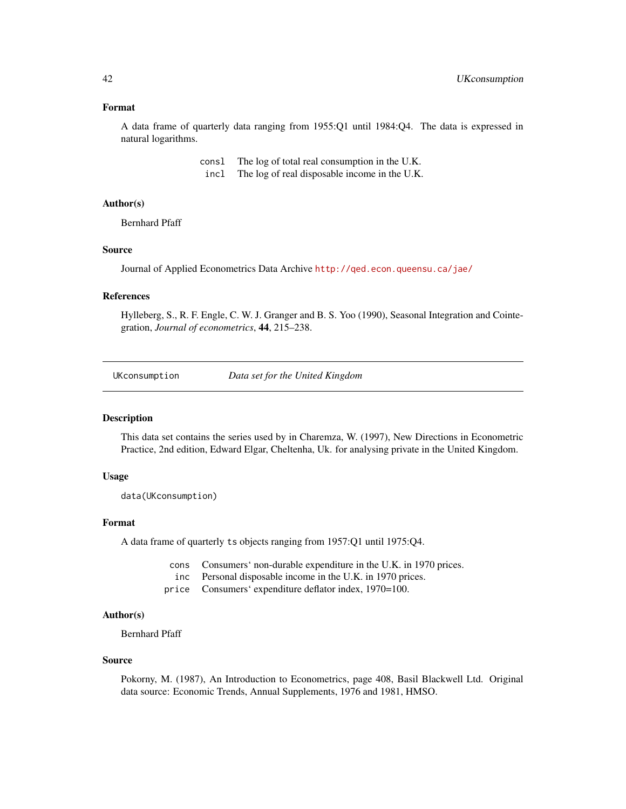#### <span id="page-41-0"></span>Format

A data frame of quarterly data ranging from 1955:Q1 until 1984:Q4. The data is expressed in natural logarithms.

> consl The log of total real consumption in the U.K. incl The log of real disposable income in the U.K.

# Author(s)

Bernhard Pfaff

#### Source

Journal of Applied Econometrics Data Archive <http://qed.econ.queensu.ca/jae/>

#### References

Hylleberg, S., R. F. Engle, C. W. J. Granger and B. S. Yoo (1990), Seasonal Integration and Cointegration, *Journal of econometrics*, 44, 215–238.

UKconsumption *Data set for the United Kingdom*

#### Description

This data set contains the series used by in Charemza, W. (1997), New Directions in Econometric Practice, 2nd edition, Edward Elgar, Cheltenha, Uk. for analysing private in the United Kingdom.

#### Usage

```
data(UKconsumption)
```
#### Format

A data frame of quarterly ts objects ranging from 1957:Q1 until 1975:Q4.

cons Consumers' non-durable expenditure in the U.K. in 1970 prices.

- inc Personal disposable income in the U.K. in 1970 prices.
- price Consumers' expenditure deflator index, 1970=100.

#### Author(s)

Bernhard Pfaff

#### Source

Pokorny, M. (1987), An Introduction to Econometrics, page 408, Basil Blackwell Ltd. Original data source: Economic Trends, Annual Supplements, 1976 and 1981, HMSO.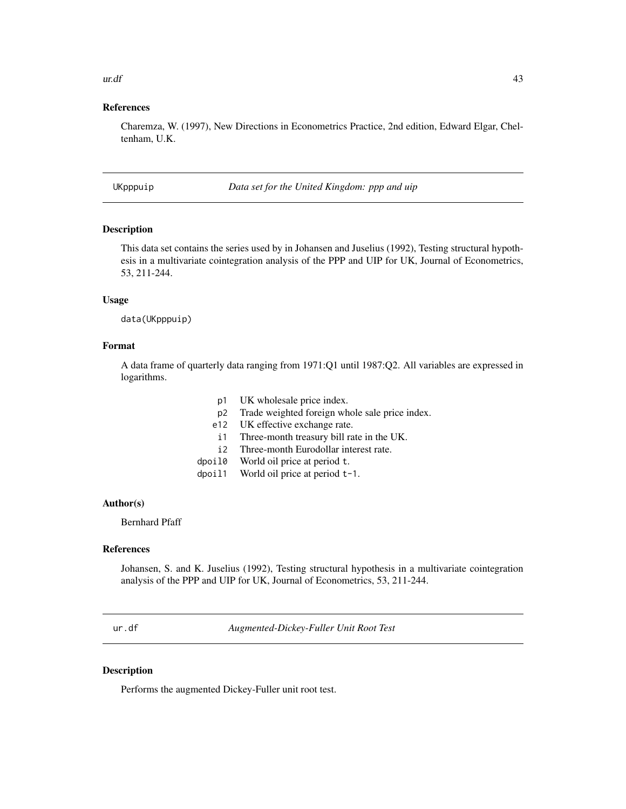#### <span id="page-42-0"></span> $ur. df$  43

# References

Charemza, W. (1997), New Directions in Econometrics Practice, 2nd edition, Edward Elgar, Cheltenham, U.K.

UKpppuip *Data set for the United Kingdom: ppp and uip*

# Description

This data set contains the series used by in Johansen and Juselius (1992), Testing structural hypothesis in a multivariate cointegration analysis of the PPP and UIP for UK, Journal of Econometrics, 53, 211-244.

#### Usage

data(UKpppuip)

# Format

A data frame of quarterly data ranging from 1971:Q1 until 1987:Q2. All variables are expressed in logarithms.

- p1 UK wholesale price index.
- p2 Trade weighted foreign whole sale price index.
- e12 UK effective exchange rate.
- i1 Three-month treasury bill rate in the UK.
- i2 Three-month Eurodollar interest rate.
- dpoil0 World oil price at period t.
- dpoil1 World oil price at period t-1.

#### Author(s)

Bernhard Pfaff

# References

Johansen, S. and K. Juselius (1992), Testing structural hypothesis in a multivariate cointegration analysis of the PPP and UIP for UK, Journal of Econometrics, 53, 211-244.

<span id="page-42-1"></span>ur.df *Augmented-Dickey-Fuller Unit Root Test*

#### Description

Performs the augmented Dickey-Fuller unit root test.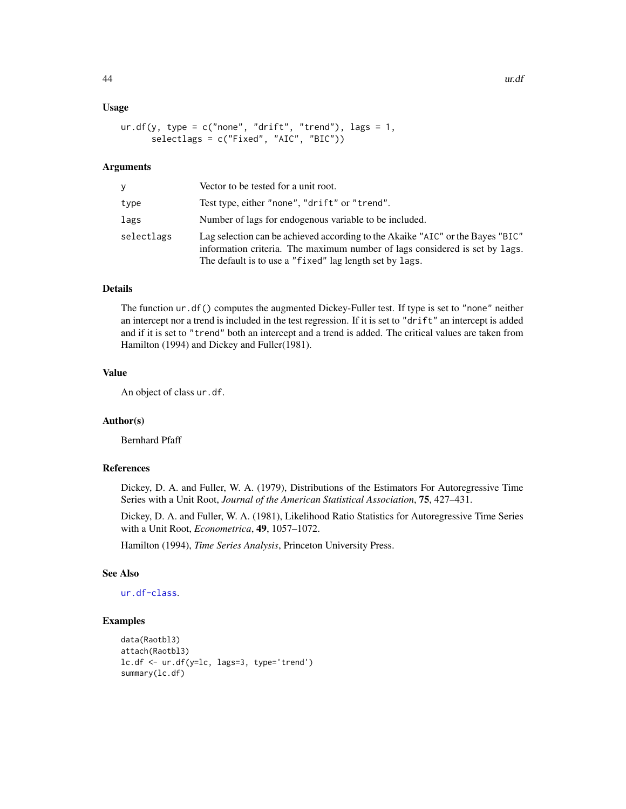#### Usage

```
ur.df(y, type = c("none", "drift", "trend"), lags = 1,selectlags = c("Fixed", "AIC", "BIC"))
```
# **Arguments**

|            | Vector to be tested for a unit root.                                                                                                                                                                                     |  |
|------------|--------------------------------------------------------------------------------------------------------------------------------------------------------------------------------------------------------------------------|--|
| type       | Test type, either "none", "drift" or "trend".                                                                                                                                                                            |  |
| lags       | Number of lags for endogenous variable to be included.                                                                                                                                                                   |  |
| selectlags | Lag selection can be achieved according to the Akaike "AIC" or the Bayes "BIC"<br>information criteria. The maximum number of lags considered is set by lags.<br>The default is to use a "fixed" lag length set by lags. |  |

# Details

The function ur.df() computes the augmented Dickey-Fuller test. If type is set to "none" neither an intercept nor a trend is included in the test regression. If it is set to "drift" an intercept is added and if it is set to "trend" both an intercept and a trend is added. The critical values are taken from Hamilton (1994) and Dickey and Fuller(1981).

# Value

An object of class ur.df.

# Author(s)

Bernhard Pfaff

# References

Dickey, D. A. and Fuller, W. A. (1979), Distributions of the Estimators For Autoregressive Time Series with a Unit Root, *Journal of the American Statistical Association*, 75, 427–431.

Dickey, D. A. and Fuller, W. A. (1981), Likelihood Ratio Statistics for Autoregressive Time Series with a Unit Root, *Econometrica*, 49, 1057–1072.

Hamilton (1994), *Time Series Analysis*, Princeton University Press.

#### See Also

[ur.df-class](#page-44-1).

#### Examples

```
data(Raotbl3)
attach(Raotbl3)
lc.df <- ur.df(y=lc, lags=3, type='trend')
summary(lc.df)
```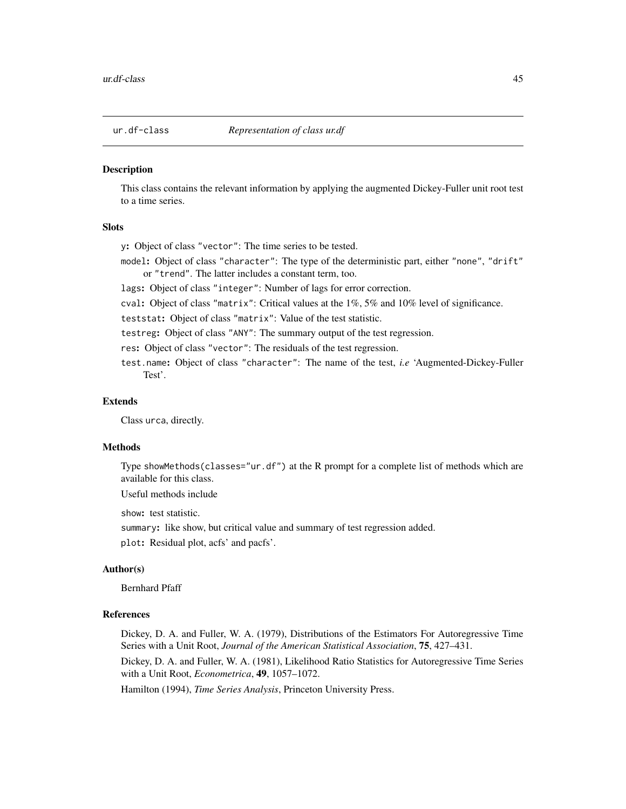<span id="page-44-1"></span><span id="page-44-0"></span>

#### Description

This class contains the relevant information by applying the augmented Dickey-Fuller unit root test to a time series.

#### **Slots**

y: Object of class "vector": The time series to be tested.

model: Object of class "character": The type of the deterministic part, either "none", "drift" or "trend". The latter includes a constant term, too.

lags: Object of class "integer": Number of lags for error correction.

cval: Object of class "matrix": Critical values at the 1%, 5% and 10% level of significance.

teststat: Object of class "matrix": Value of the test statistic.

testreg: Object of class "ANY": The summary output of the test regression.

- res: Object of class "vector": The residuals of the test regression.
- test.name: Object of class "character": The name of the test, *i.e* 'Augmented-Dickey-Fuller Test'.

#### Extends

Class urca, directly.

#### Methods

Type showMethods(classes="ur.df") at the R prompt for a complete list of methods which are available for this class.

Useful methods include

show: test statistic.

summary: like show, but critical value and summary of test regression added.

plot: Residual plot, acfs' and pacfs'.

#### Author(s)

Bernhard Pfaff

#### References

Dickey, D. A. and Fuller, W. A. (1979), Distributions of the Estimators For Autoregressive Time Series with a Unit Root, *Journal of the American Statistical Association*, 75, 427–431.

Dickey, D. A. and Fuller, W. A. (1981), Likelihood Ratio Statistics for Autoregressive Time Series with a Unit Root, *Econometrica*, 49, 1057–1072.

Hamilton (1994), *Time Series Analysis*, Princeton University Press.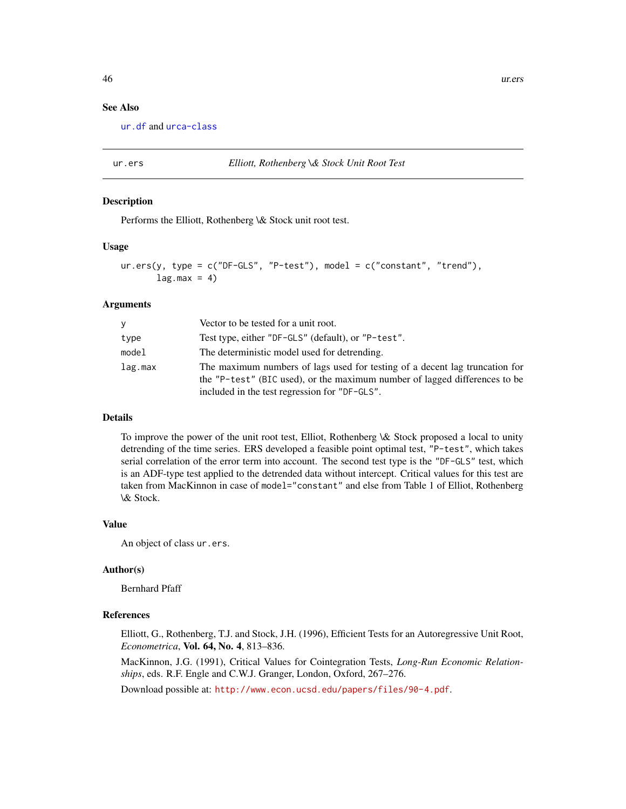# See Also

[ur.df](#page-42-1) and [urca-class](#page-56-1)

<span id="page-45-1"></span>ur.ers *Elliott, Rothenberg \& Stock Unit Root Test*

#### Description

Performs the Elliott, Rothenberg \& Stock unit root test.

#### Usage

```
ur.ers(y, type = c("DF-GLS", "P-test"), model = c("constant", "trend"),lag.max = 4)
```
#### Arguments

| V       | Vector to be tested for a unit root.                                                                                                                      |  |
|---------|-----------------------------------------------------------------------------------------------------------------------------------------------------------|--|
| type    | Test type, either "DF-GLS" (default), or "P-test".                                                                                                        |  |
| model   | The deterministic model used for detrending.                                                                                                              |  |
| lag.max | The maximum numbers of lags used for testing of a decent lag truncation for<br>the "P-test" (BIC used), or the maximum number of lagged differences to be |  |
|         | included in the test regression for "DF-GLS".                                                                                                             |  |

#### Details

To improve the power of the unit root test, Elliot, Rothenberg \& Stock proposed a local to unity detrending of the time series. ERS developed a feasible point optimal test, "P-test", which takes serial correlation of the error term into account. The second test type is the "DF-GLS" test, which is an ADF-type test applied to the detrended data without intercept. Critical values for this test are taken from MacKinnon in case of model="constant" and else from Table 1 of Elliot, Rothenberg \& Stock.

#### Value

An object of class ur.ers.

# Author(s)

Bernhard Pfaff

#### References

Elliott, G., Rothenberg, T.J. and Stock, J.H. (1996), Efficient Tests for an Autoregressive Unit Root, *Econometrica*, Vol. 64, No. 4, 813–836.

MacKinnon, J.G. (1991), Critical Values for Cointegration Tests, *Long-Run Economic Relationships*, eds. R.F. Engle and C.W.J. Granger, London, Oxford, 267–276.

Download possible at: <http://www.econ.ucsd.edu/papers/files/90-4.pdf>.

<span id="page-45-0"></span>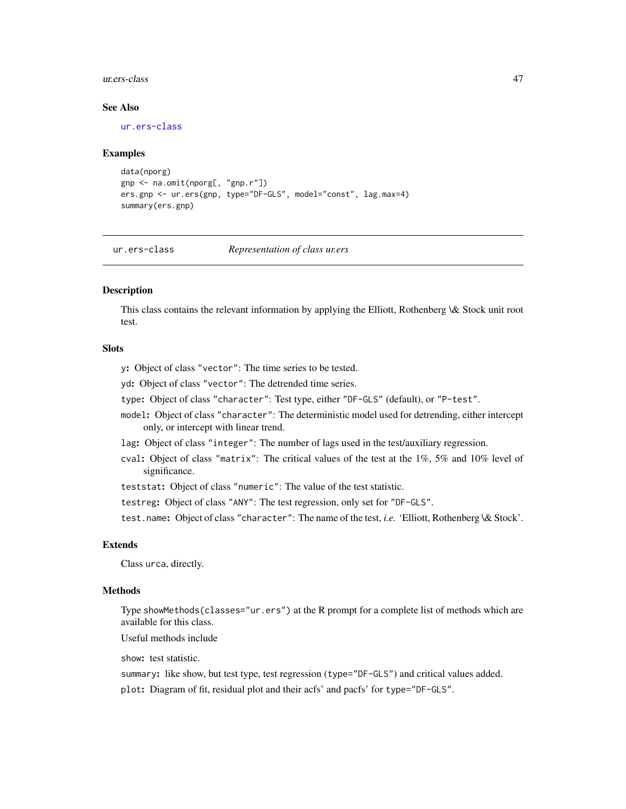#### <span id="page-46-0"></span>ur.ers-class 47

#### See Also

[ur.ers-class](#page-46-1)

#### Examples

```
data(nporg)
gnp <- na.omit(nporg[, "gnp.r"])
ers.gnp <- ur.ers(gnp, type="DF-GLS", model="const", lag.max=4)
summary(ers.gnp)
```
<span id="page-46-1"></span>ur.ers-class *Representation of class ur.ers*

# Description

This class contains the relevant information by applying the Elliott, Rothenberg \& Stock unit root test.

# Slots

- y: Object of class "vector": The time series to be tested.
- yd: Object of class "vector": The detrended time series.
- type: Object of class "character": Test type, either "DF-GLS" (default), or "P-test".
- model: Object of class "character": The deterministic model used for detrending, either intercept only, or intercept with linear trend.
- lag: Object of class "integer": The number of lags used in the test/auxiliary regression.
- cval: Object of class "matrix": The critical values of the test at the 1%, 5% and 10% level of significance.
- teststat: Object of class "numeric": The value of the test statistic.
- testreg: Object of class "ANY": The test regression, only set for "DF-GLS".

test.name: Object of class "character": The name of the test, *i.e.* 'Elliott, Rothenberg \& Stock'.

# Extends

Class urca, directly.

#### Methods

Type showMethods(classes="ur.ers") at the R prompt for a complete list of methods which are available for this class.

Useful methods include

show: test statistic.

summary: like show, but test type, test regression (type="DF-GLS") and critical values added.

plot: Diagram of fit, residual plot and their acfs' and pacfs' for type="DF-GLS".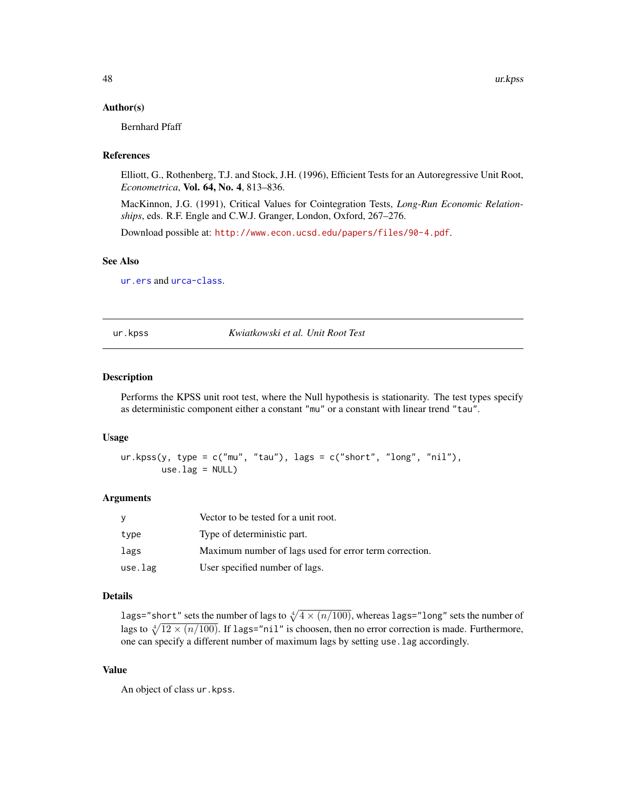#### <span id="page-47-0"></span>Author(s)

Bernhard Pfaff

#### References

Elliott, G., Rothenberg, T.J. and Stock, J.H. (1996), Efficient Tests for an Autoregressive Unit Root, *Econometrica*, Vol. 64, No. 4, 813–836.

MacKinnon, J.G. (1991), Critical Values for Cointegration Tests, *Long-Run Economic Relationships*, eds. R.F. Engle and C.W.J. Granger, London, Oxford, 267–276.

Download possible at: <http://www.econ.ucsd.edu/papers/files/90-4.pdf>.

#### See Also

[ur.ers](#page-45-1) and [urca-class](#page-56-1).

<span id="page-47-1"></span>ur.kpss *Kwiatkowski et al. Unit Root Test*

#### Description

Performs the KPSS unit root test, where the Null hypothesis is stationarity. The test types specify as deterministic component either a constant "mu" or a constant with linear trend "tau".

#### Usage

 $ur.kpss(y, type = c("mu", "tau"), lags = c("short", "long", "nil"),$  $use.lag = NULL)$ 

#### Arguments

| y       | Vector to be tested for a unit root.                   |
|---------|--------------------------------------------------------|
| type    | Type of deterministic part.                            |
| lags    | Maximum number of lags used for error term correction. |
| use.lag | User specified number of lags.                         |

#### Details

lags="short" sets the number of lags to  $\sqrt[4]{4 \times (n/100)}$ , whereas lags="long" sets the number of lags to  $\sqrt[4]{12 \times (n/100)}$ . If lags="nil" is choosen, then no error correction is made. Furthermore, one can specify a different number of maximum lags by setting use.lag accordingly.

# Value

An object of class ur.kpss.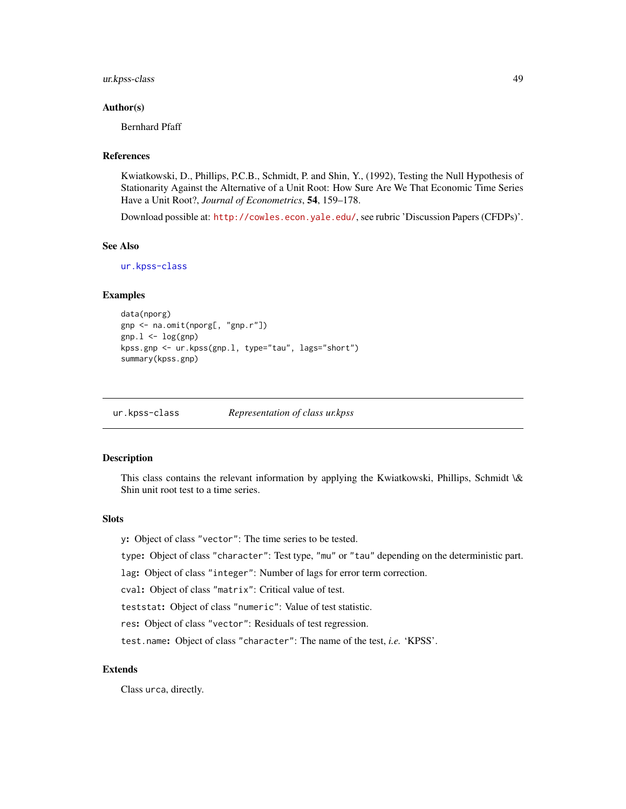#### <span id="page-48-0"></span>ur.kpss-class 49

#### Author(s)

Bernhard Pfaff

#### References

Kwiatkowski, D., Phillips, P.C.B., Schmidt, P. and Shin, Y., (1992), Testing the Null Hypothesis of Stationarity Against the Alternative of a Unit Root: How Sure Are We That Economic Time Series Have a Unit Root?, *Journal of Econometrics*, 54, 159–178.

Download possible at: <http://cowles.econ.yale.edu/>, see rubric 'Discussion Papers (CFDPs)'.

# See Also

[ur.kpss-class](#page-48-1)

#### Examples

```
data(nporg)
gnp <- na.omit(nporg[, "gnp.r"])
gnp.1 \leftarrow log(gnp)kpss.gnp <- ur.kpss(gnp.l, type="tau", lags="short")
summary(kpss.gnp)
```
<span id="page-48-1"></span>ur.kpss-class *Representation of class ur.kpss*

#### Description

This class contains the relevant information by applying the Kwiatkowski, Phillips, Schmidt \& Shin unit root test to a time series.

#### **Slots**

y: Object of class "vector": The time series to be tested.

type: Object of class "character": Test type, "mu" or "tau" depending on the deterministic part.

lag: Object of class "integer": Number of lags for error term correction.

cval: Object of class "matrix": Critical value of test.

teststat: Object of class "numeric": Value of test statistic.

res: Object of class "vector": Residuals of test regression.

test.name: Object of class "character": The name of the test, *i.e.* 'KPSS'.

# Extends

Class urca, directly.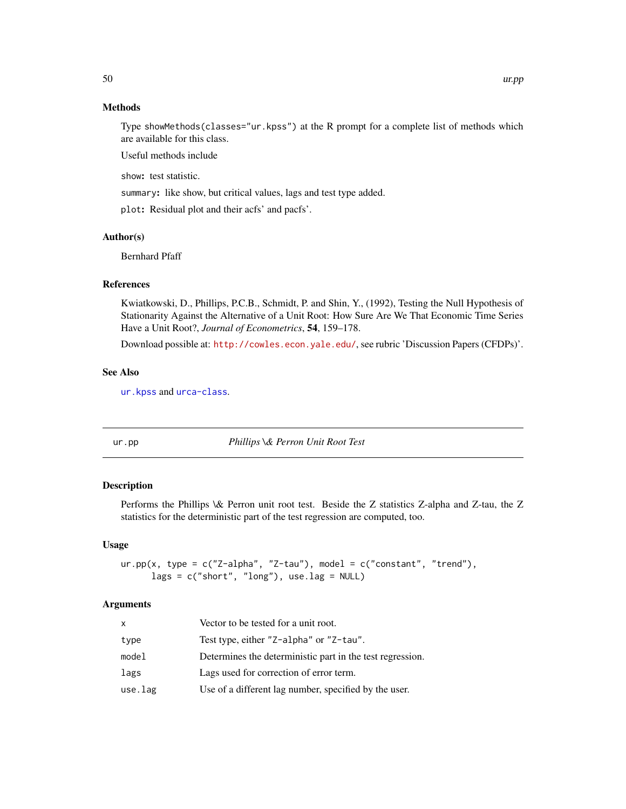# Methods

Type showMethods(classes="ur.kpss") at the R prompt for a complete list of methods which are available for this class.

Useful methods include

show: test statistic.

summary: like show, but critical values, lags and test type added.

plot: Residual plot and their acfs' and pacfs'.

#### Author(s)

Bernhard Pfaff

# References

Kwiatkowski, D., Phillips, P.C.B., Schmidt, P. and Shin, Y., (1992), Testing the Null Hypothesis of Stationarity Against the Alternative of a Unit Root: How Sure Are We That Economic Time Series Have a Unit Root?, *Journal of Econometrics*, 54, 159–178.

Download possible at: <http://cowles.econ.yale.edu/>, see rubric 'Discussion Papers (CFDPs)'.

#### See Also

[ur.kpss](#page-47-1) and [urca-class](#page-56-1).

<span id="page-49-1"></span>ur.pp *Phillips \& Perron Unit Root Test*

#### Description

Performs the Phillips \& Perron unit root test. Beside the Z statistics Z-alpha and Z-tau, the Z statistics for the deterministic part of the test regression are computed, too.

#### Usage

```
ur.pp(x, type = c("Z-alpha", "Z-tau"), model = c("constant", "trend"),lags = c("short", "long"), use.lag = NULL)
```
#### Arguments

| x       | Vector to be tested for a unit root.                      |
|---------|-----------------------------------------------------------|
| type    | Test type, either "Z-alpha" or "Z-tau".                   |
| model   | Determines the deterministic part in the test regression. |
| lags    | Lags used for correction of error term.                   |
| use.lag | Use of a different lag number, specified by the user.     |

<span id="page-49-0"></span>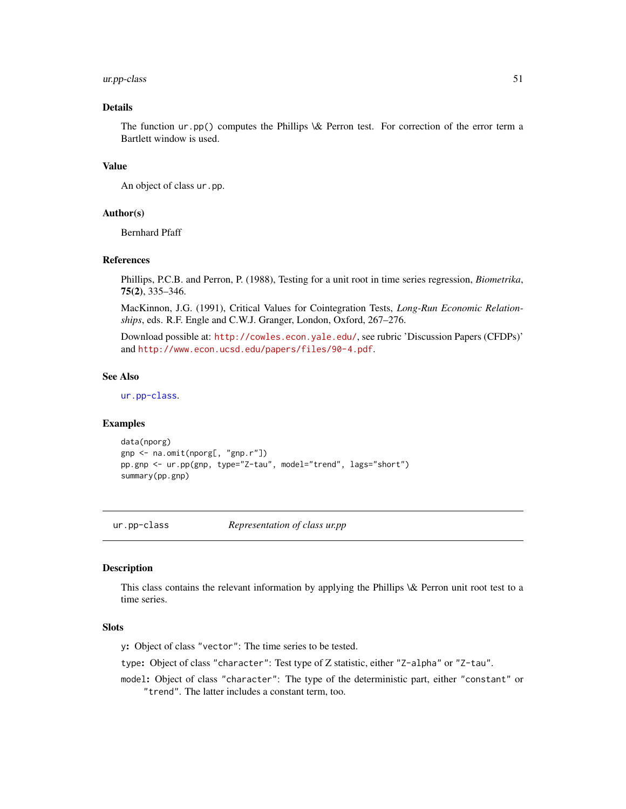# <span id="page-50-0"></span>ur.pp-class 51

# Details

The function ur.pp() computes the Phillips \& Perron test. For correction of the error term a Bartlett window is used.

#### Value

An object of class ur.pp.

# Author(s)

Bernhard Pfaff

# References

Phillips, P.C.B. and Perron, P. (1988), Testing for a unit root in time series regression, *Biometrika*, 75(2), 335–346.

MacKinnon, J.G. (1991), Critical Values for Cointegration Tests, *Long-Run Economic Relationships*, eds. R.F. Engle and C.W.J. Granger, London, Oxford, 267–276.

Download possible at: <http://cowles.econ.yale.edu/>, see rubric 'Discussion Papers (CFDPs)' and <http://www.econ.ucsd.edu/papers/files/90-4.pdf>.

# See Also

[ur.pp-class](#page-50-1).

#### Examples

```
data(nporg)
gnp <- na.omit(nporg[, "gnp.r"])
pp.gnp <- ur.pp(gnp, type="Z-tau", model="trend", lags="short")
summary(pp.gnp)
```
<span id="page-50-1"></span>ur.pp-class *Representation of class ur.pp*

## **Description**

This class contains the relevant information by applying the Phillips \& Perron unit root test to a time series.

#### **Slots**

y: Object of class "vector": The time series to be tested.

type: Object of class "character": Test type of Z statistic, either "Z-alpha" or "Z-tau".

model: Object of class "character": The type of the deterministic part, either "constant" or "trend". The latter includes a constant term, too.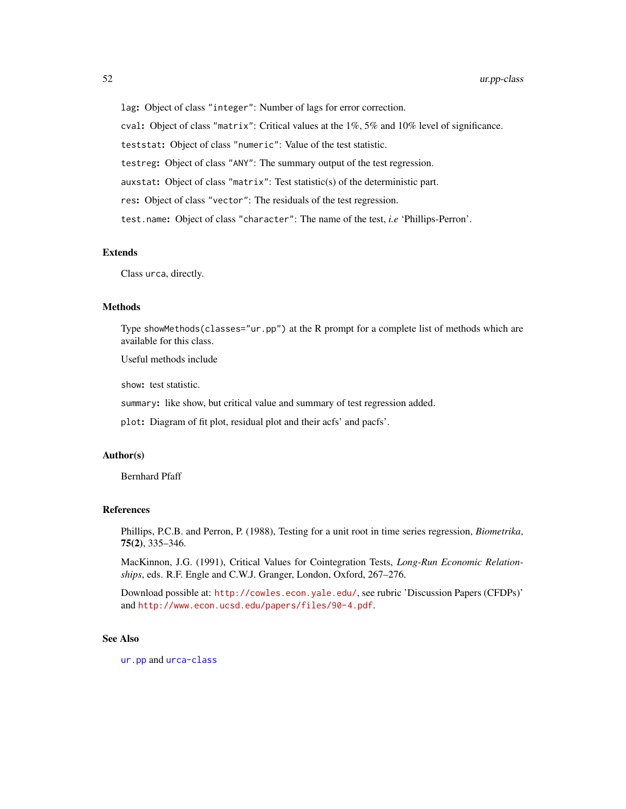<span id="page-51-0"></span>lag: Object of class "integer": Number of lags for error correction.

cval: Object of class "matrix": Critical values at the 1%, 5% and 10% level of significance.

teststat: Object of class "numeric": Value of the test statistic.

testreg: Object of class "ANY": The summary output of the test regression.

auxstat: Object of class "matrix": Test statistic(s) of the deterministic part.

res: Object of class "vector": The residuals of the test regression.

test.name: Object of class "character": The name of the test, *i.e* 'Phillips-Perron'.

# Extends

Class urca, directly.

#### Methods

Type showMethods(classes="ur.pp") at the R prompt for a complete list of methods which are available for this class.

Useful methods include

show: test statistic.

summary: like show, but critical value and summary of test regression added.

plot: Diagram of fit plot, residual plot and their acfs' and pacfs'.

#### Author(s)

Bernhard Pfaff

#### References

Phillips, P.C.B. and Perron, P. (1988), Testing for a unit root in time series regression, *Biometrika*, 75(2), 335–346.

MacKinnon, J.G. (1991), Critical Values for Cointegration Tests, *Long-Run Economic Relationships*, eds. R.F. Engle and C.W.J. Granger, London, Oxford, 267–276.

Download possible at: <http://cowles.econ.yale.edu/>, see rubric 'Discussion Papers (CFDPs)' and <http://www.econ.ucsd.edu/papers/files/90-4.pdf>.

#### See Also

[ur.pp](#page-49-1) and [urca-class](#page-56-1)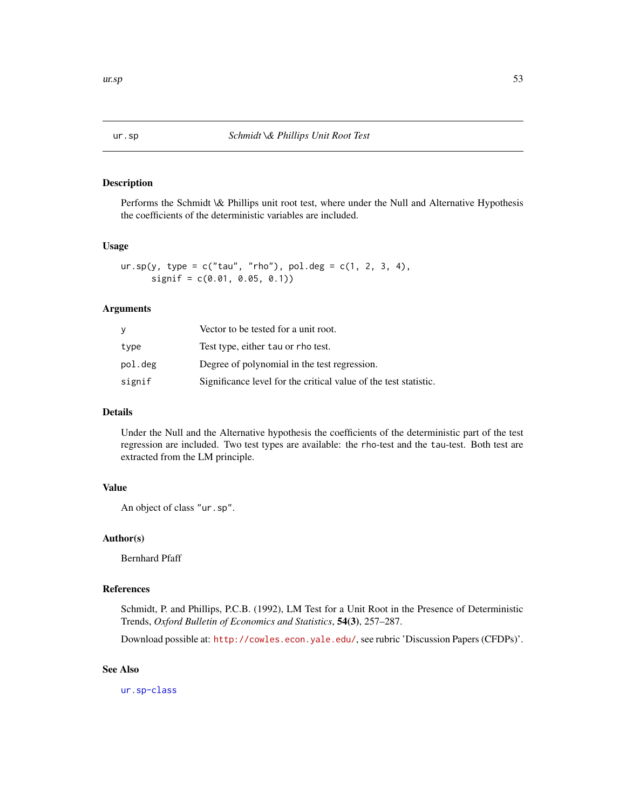#### <span id="page-52-1"></span><span id="page-52-0"></span>Description

Performs the Schmidt \& Phillips unit root test, where under the Null and Alternative Hypothesis the coefficients of the deterministic variables are included.

#### Usage

```
ur.\,sp(y, \,type = c("tau", "rho"), pol. deg = c(1, 2, 3, 4),signif = c(0.01, 0.05, 0.1))
```
#### Arguments

| У       | Vector to be tested for a unit root.                             |  |
|---------|------------------------------------------------------------------|--|
| type    | Test type, either tau or rho test.                               |  |
| pol.deg | Degree of polynomial in the test regression.                     |  |
| signif  | Significance level for the critical value of the test statistic. |  |

# Details

Under the Null and the Alternative hypothesis the coefficients of the deterministic part of the test regression are included. Two test types are available: the rho-test and the tau-test. Both test are extracted from the LM principle.

# Value

An object of class "ur.sp".

# Author(s)

Bernhard Pfaff

# References

Schmidt, P. and Phillips, P.C.B. (1992), LM Test for a Unit Root in the Presence of Deterministic Trends, *Oxford Bulletin of Economics and Statistics*, 54(3), 257–287.

Download possible at: <http://cowles.econ.yale.edu/>, see rubric 'Discussion Papers (CFDPs)'.

# See Also

[ur.sp-class](#page-53-1)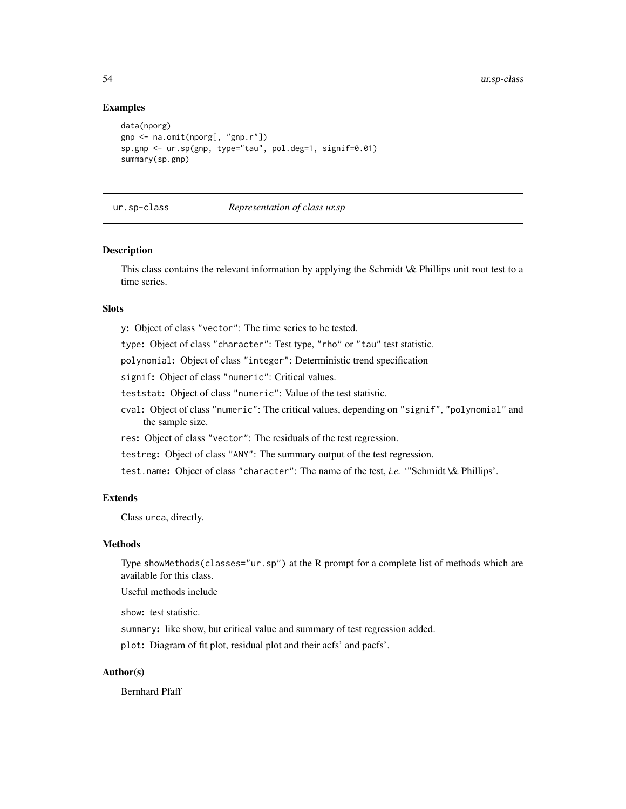#### Examples

```
data(nporg)
gnp <- na.omit(nporg[, "gnp.r"])
sp.gnp <- ur.sp(gnp, type="tau", pol.deg=1, signif=0.01)
summary(sp.gnp)
```
#### ur.sp-class *Representation of class ur.sp*

#### Description

This class contains the relevant information by applying the Schmidt \& Phillips unit root test to a time series.

# **Slots**

y: Object of class "vector": The time series to be tested.

type: Object of class "character": Test type, "rho" or "tau" test statistic.

polynomial: Object of class "integer": Deterministic trend specification

signif: Object of class "numeric": Critical values.

teststat: Object of class "numeric": Value of the test statistic.

cval: Object of class "numeric": The critical values, depending on "signif", "polynomial" and the sample size.

res: Object of class "vector": The residuals of the test regression.

testreg: Object of class "ANY": The summary output of the test regression.

test.name: Object of class "character": The name of the test, *i.e.* '"Schmidt \& Phillips'.

#### Extends

Class urca, directly.

# Methods

Type showMethods(classes="ur.sp") at the R prompt for a complete list of methods which are available for this class.

Useful methods include

show: test statistic.

summary: like show, but critical value and summary of test regression added.

plot: Diagram of fit plot, residual plot and their acfs' and pacfs'.

# Author(s)

Bernhard Pfaff

<span id="page-53-0"></span>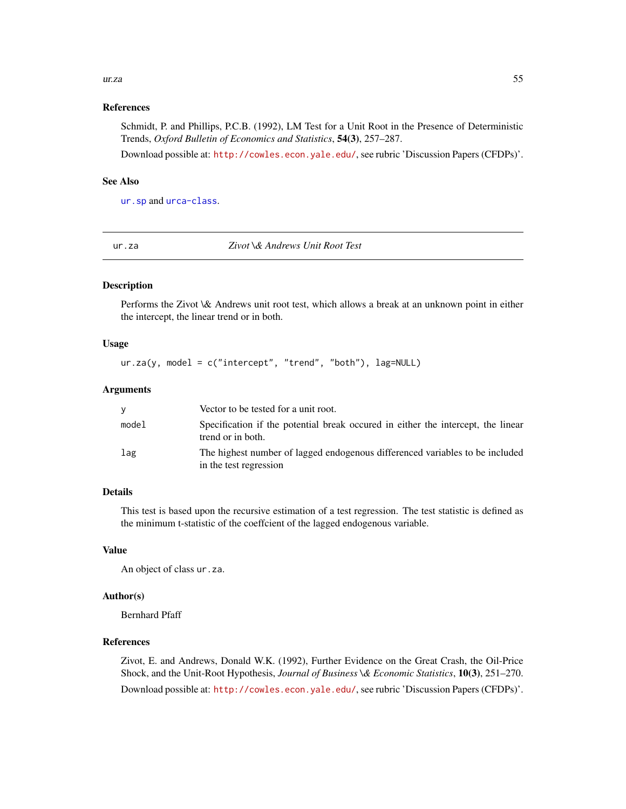#### <span id="page-54-0"></span>ur.za 55

#### References

Schmidt, P. and Phillips, P.C.B. (1992), LM Test for a Unit Root in the Presence of Deterministic Trends, *Oxford Bulletin of Economics and Statistics*, 54(3), 257–287.

Download possible at: <http://cowles.econ.yale.edu/>, see rubric 'Discussion Papers (CFDPs)'.

# See Also

[ur.sp](#page-52-1) and [urca-class](#page-56-1).

<span id="page-54-1"></span>

ur.za *Zivot \& Andrews Unit Root Test*

# Description

Performs the Zivot \& Andrews unit root test, which allows a break at an unknown point in either the intercept, the linear trend or in both.

#### Usage

 $ur.za(y, model = c("intercept", "trend", "both"), lag=NULL)$ 

### Arguments

|       | Vector to be tested for a unit root.                                                                   |
|-------|--------------------------------------------------------------------------------------------------------|
| model | Specification if the potential break occurred in either the intercept, the linear<br>trend or in both. |
| lag   | The highest number of lagged endogenous differenced variables to be included<br>in the test regression |

# Details

This test is based upon the recursive estimation of a test regression. The test statistic is defined as the minimum t-statistic of the coeffcient of the lagged endogenous variable.

#### Value

An object of class ur.za.

# Author(s)

Bernhard Pfaff

#### References

Zivot, E. and Andrews, Donald W.K. (1992), Further Evidence on the Great Crash, the Oil-Price Shock, and the Unit-Root Hypothesis, *Journal of Business \& Economic Statistics*, 10(3), 251–270. Download possible at: <http://cowles.econ.yale.edu/>, see rubric 'Discussion Papers (CFDPs)'.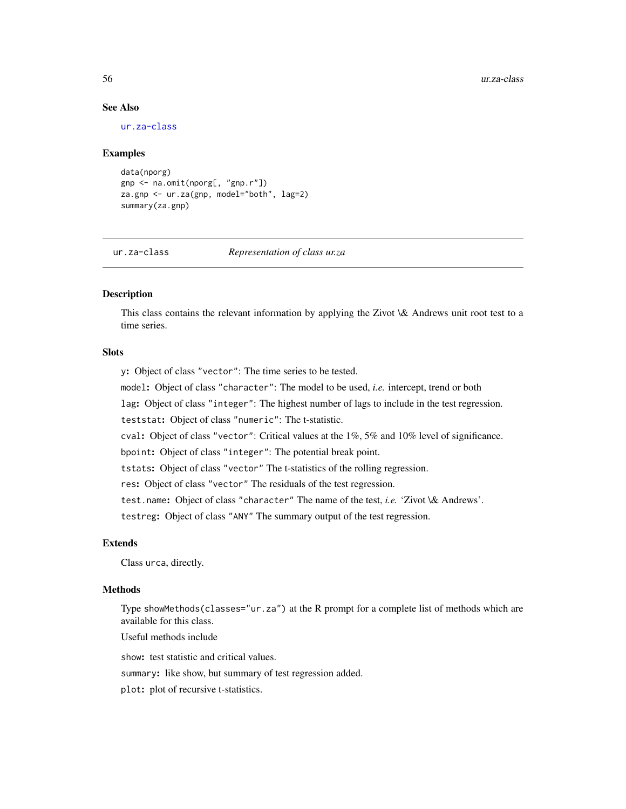# See Also

[ur.za-class](#page-55-1)

#### Examples

```
data(nporg)
gnp <- na.omit(nporg[, "gnp.r"])
za.gnp <- ur.za(gnp, model="both", lag=2)
summary(za.gnp)
```
# <span id="page-55-1"></span>ur.za-class *Representation of class ur.za*

# Description

This class contains the relevant information by applying the Zivot \& Andrews unit root test to a time series.

# **Slots**

y: Object of class "vector": The time series to be tested.

model: Object of class "character": The model to be used, *i.e.* intercept, trend or both

lag: Object of class "integer": The highest number of lags to include in the test regression.

teststat: Object of class "numeric": The t-statistic.

cval: Object of class "vector": Critical values at the 1%, 5% and 10% level of significance.

bpoint: Object of class "integer": The potential break point.

tstats: Object of class "vector" The t-statistics of the rolling regression.

res: Object of class "vector" The residuals of the test regression.

test.name: Object of class "character" The name of the test, *i.e.* 'Zivot \& Andrews'.

testreg: Object of class "ANY" The summary output of the test regression.

#### Extends

Class urca, directly.

# Methods

Type showMethods(classes="ur.za") at the R prompt for a complete list of methods which are available for this class.

Useful methods include

show: test statistic and critical values.

summary: like show, but summary of test regression added.

plot: plot of recursive t-statistics.

<span id="page-55-0"></span>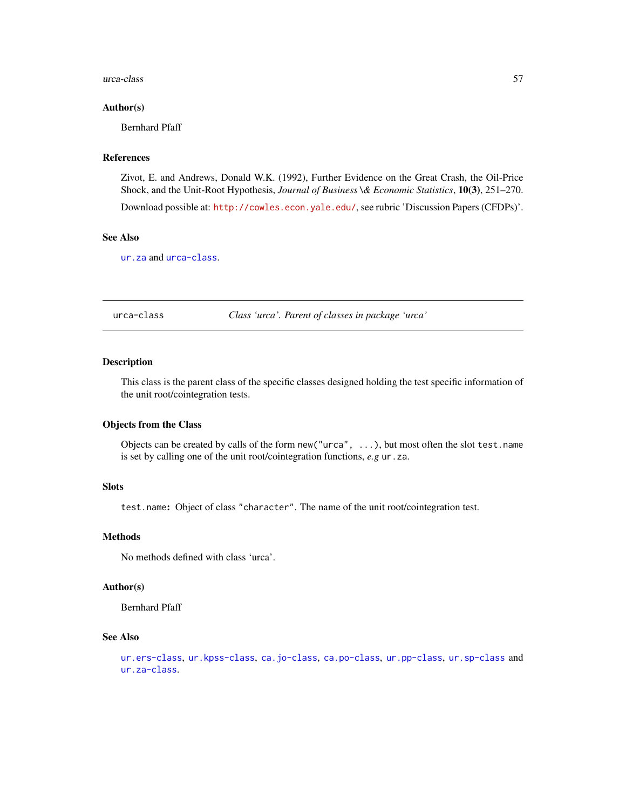#### <span id="page-56-0"></span>urca-class 57

#### Author(s)

Bernhard Pfaff

# References

Zivot, E. and Andrews, Donald W.K. (1992), Further Evidence on the Great Crash, the Oil-Price Shock, and the Unit-Root Hypothesis, *Journal of Business \& Economic Statistics*, 10(3), 251–270.

Download possible at: <http://cowles.econ.yale.edu/>, see rubric 'Discussion Papers (CFDPs)'.

#### See Also

[ur.za](#page-54-1) and [urca-class](#page-56-1).

<span id="page-56-1"></span>urca-class *Class 'urca'. Parent of classes in package 'urca'*

# Description

This class is the parent class of the specific classes designed holding the test specific information of the unit root/cointegration tests.

#### Objects from the Class

Objects can be created by calls of the form new("urca", ...), but most often the slot test.name is set by calling one of the unit root/cointegration functions, *e.g* ur.za.

#### Slots

test.name: Object of class "character". The name of the unit root/cointegration test.

#### **Methods**

No methods defined with class 'urca'.

#### Author(s)

Bernhard Pfaff

# See Also

```
ur.ers-class, ur.kpss-class, ca.jo-class, ca.po-class, ur.pp-class, ur.sp-class and
ur.za-class.
```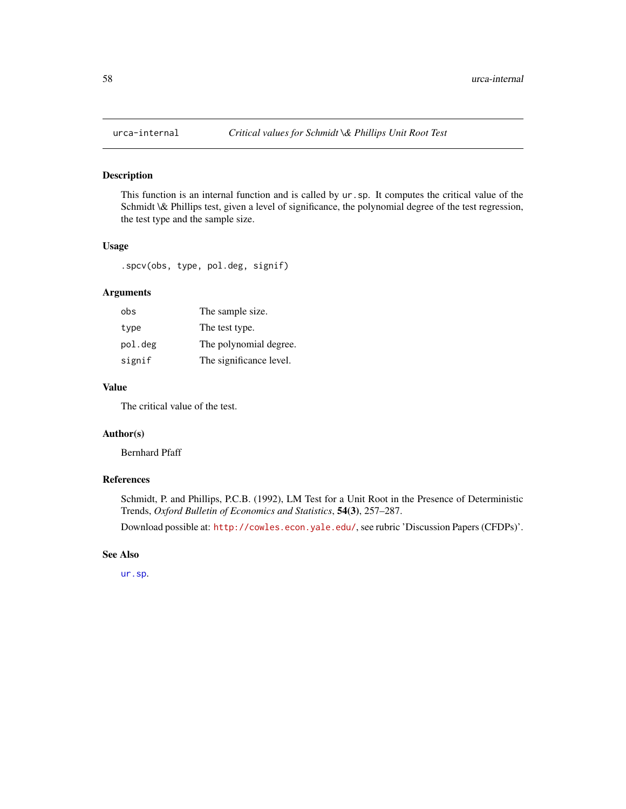<span id="page-57-0"></span>

# Description

This function is an internal function and is called by ur.sp. It computes the critical value of the Schmidt \& Phillips test, given a level of significance, the polynomial degree of the test regression, the test type and the sample size.

# Usage

.spcv(obs, type, pol.deg, signif)

# Arguments

| obs     | The sample size.        |
|---------|-------------------------|
| type    | The test type.          |
| pol.deg | The polynomial degree.  |
| signif  | The significance level. |

# Value

The critical value of the test.

#### Author(s)

Bernhard Pfaff

# References

Schmidt, P. and Phillips, P.C.B. (1992), LM Test for a Unit Root in the Presence of Deterministic Trends, *Oxford Bulletin of Economics and Statistics*, 54(3), 257–287.

Download possible at: <http://cowles.econ.yale.edu/>, see rubric 'Discussion Papers (CFDPs)'.

### See Also

[ur.sp](#page-52-1).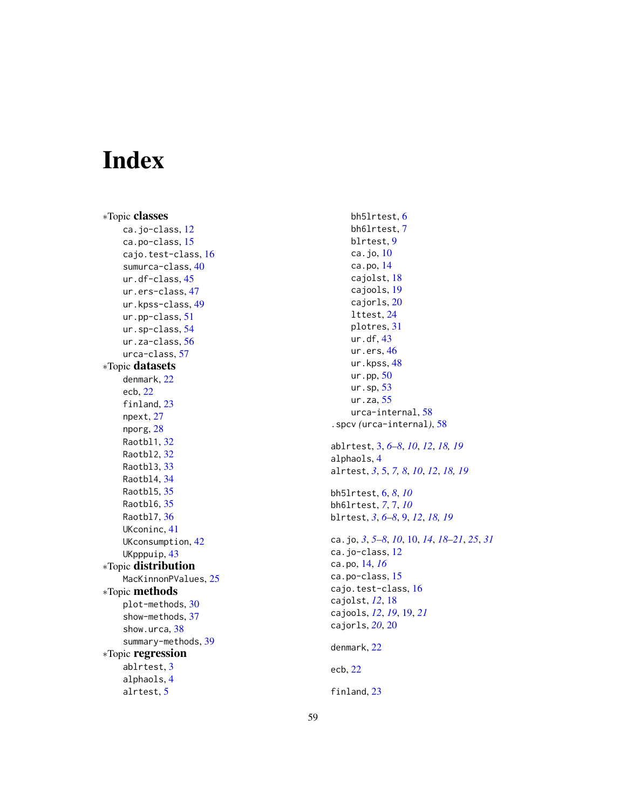# <span id="page-58-0"></span>Index

∗Topic classes ca.jo-class , [12](#page-11-0) ca.po-class, [15](#page-14-0) cajo.test-class , [16](#page-15-0) sumurca-class, [40](#page-39-0) ur.df-class , [45](#page-44-0) ur.ers-class , [47](#page-46-0) ur.kpss-class, [49](#page-48-0) ur.pp-class , [51](#page-50-0) ur.sp-class , [54](#page-53-0) ur.za-class, <mark>[56](#page-55-0)</mark> urca-class , [57](#page-56-0) ∗Topic datasets denmark , [22](#page-21-0) ecb , [22](#page-21-0) finland, [23](#page-22-0) npext , [27](#page-26-0) nporg , [28](#page-27-0) Raotbl1 , [32](#page-31-0) Raotbl2 , [32](#page-31-0) Raotbl3 , [33](#page-32-0) Raotbl4 , [34](#page-33-0) Raotbl5 , [35](#page-34-0) Raotbl6 , [35](#page-34-0) Raotbl7 , [36](#page-35-0) UKconinc , [41](#page-40-0) UKconsumption, [42](#page-41-0) UKpppuip , [43](#page-42-0) ∗Topic distribution MacKinnonPValues, [25](#page-24-0) ∗Topic methods plot-methods , [30](#page-29-0) show-methods , [37](#page-36-0) show.urca , [38](#page-37-0) summary-methods , [39](#page-38-0) ∗Topic regression ablrtest , [3](#page-2-0) alphaols , [4](#page-3-0) alrtest , [5](#page-4-0)

bh5lrtest , [6](#page-5-0) bh6lrtest , [7](#page-6-0) blrtest , [9](#page-8-0) ca.jo, [10](#page-9-0) ca.po , [14](#page-13-0) cajolst , [18](#page-17-0) cajools , [19](#page-18-0) cajorls , [20](#page-19-0) lttest , [24](#page-23-0) plotres , [31](#page-30-0) ur.df , [43](#page-42-0) ur.ers, [46](#page-45-0) ur.kpss, [48](#page-47-0) ur.pp, [50](#page-49-0) ur.sp , [53](#page-52-0) ur.za, [55](#page-54-0) urca-internal , [58](#page-57-0) .spcv *(*urca-internal *)* , [58](#page-57-0) ablrtest , [3](#page-2-0) , *[6–](#page-5-0) [8](#page-7-0)* , *[10](#page-9-0)* , *[12](#page-11-0)* , *[18](#page-17-0) , [19](#page-18-0)* alphaols , [4](#page-3-0) alrtest , *[3](#page-2-0)* , [5](#page-4-0) , *[7,](#page-6-0) [8](#page-7-0)* , *[10](#page-9-0)* , *[12](#page-11-0)* , *[18](#page-17-0) , [19](#page-18-0)* bh5lrtest , [6](#page-5-0) , *[8](#page-7-0)* , *[10](#page-9-0)* bh6lrtest , *[7](#page-6-0)* , [7](#page-6-0) , *[10](#page-9-0)* blrtest , *[3](#page-2-0)* , *[6–](#page-5-0) [8](#page-7-0)* , [9](#page-8-0) , *[12](#page-11-0)* , *[18](#page-17-0) , [19](#page-18-0)* ca.jo , *[3](#page-2-0)* , *[5](#page-4-0) – [8](#page-7-0)* , *[10](#page-9-0)* , [10](#page-9-0) , *[14](#page-13-0)* , *[18](#page-17-0) [–21](#page-20-0)* , *[25](#page-24-0)* , *[31](#page-30-0)* ca.jo-class , [12](#page-11-0) ca.po , [14](#page-13-0) , *[16](#page-15-0)* ca.po-class , [15](#page-14-0) cajo.test-class , [16](#page-15-0) cajolst , *[12](#page-11-0)* , [18](#page-17-0) cajools , *[12](#page-11-0)* , *[19](#page-18-0)* , [19](#page-18-0) , *[21](#page-20-0)* cajorls , *[20](#page-19-0)* , [20](#page-19-0) denmark , [22](#page-21-0) ecb , [22](#page-21-0) finland, [23](#page-22-0)